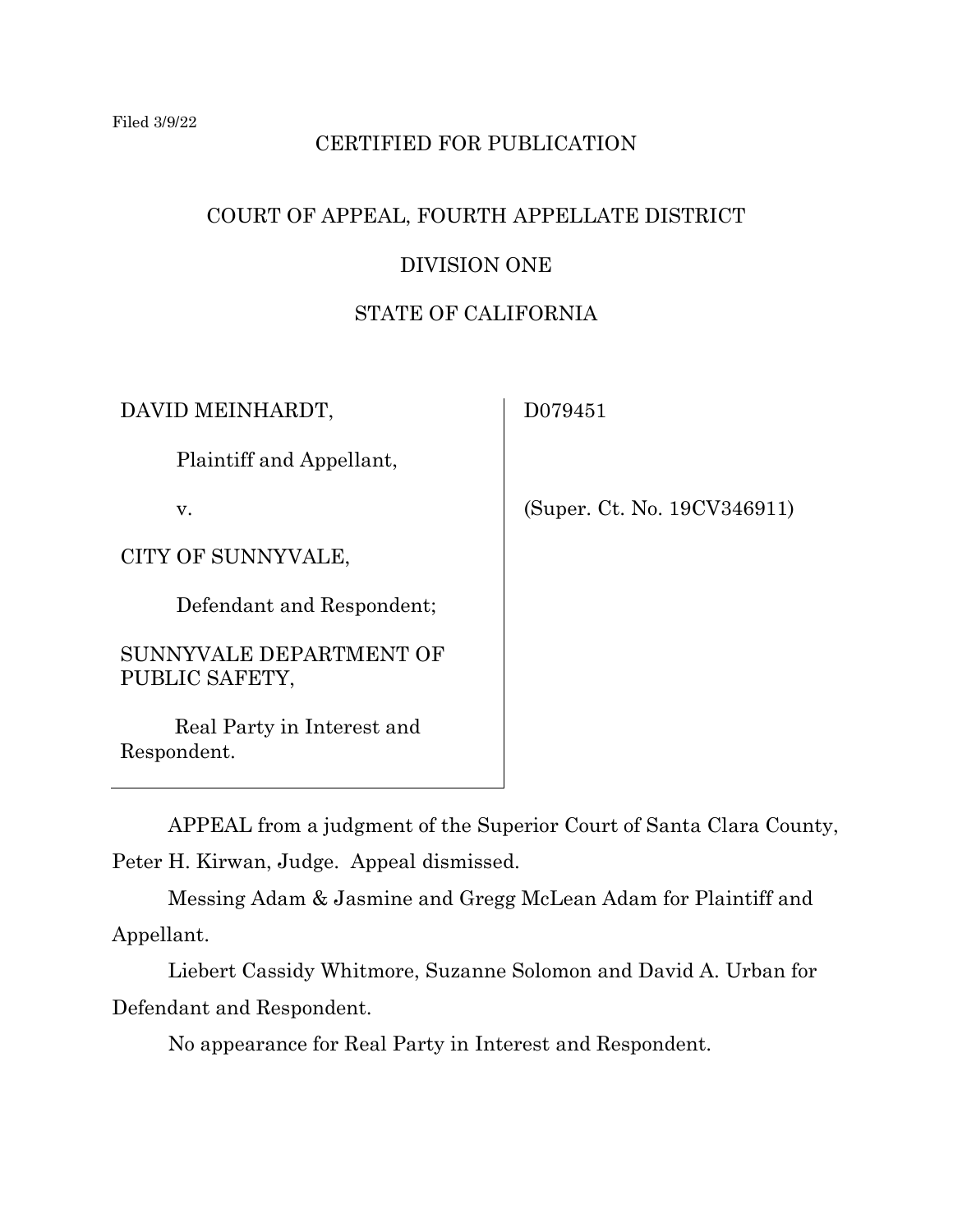# CERTIFIED FOR PUBLICATION

# COURT OF APPEAL, FOURTH APPELLATE DISTRICT

## DIVISION ONE

## STATE OF CALIFORNIA

DAVID MEINHARDT,

Plaintiff and Appellant,

v.

CITY OF SUNNYVALE,

Defendant and Respondent;

SUNNYVALE DEPARTMENT OF PUBLIC SAFETY,

Real Party in Interest and Respondent.

D079451

(Super. Ct. No. 19CV346911)

APPEAL from a judgment of the Superior Court of Santa Clara County, Peter H. Kirwan, Judge. Appeal dismissed.

Messing Adam & Jasmine and Gregg McLean Adam for Plaintiff and Appellant.

Liebert Cassidy Whitmore, Suzanne Solomon and David A. Urban for Defendant and Respondent.

No appearance for Real Party in Interest and Respondent.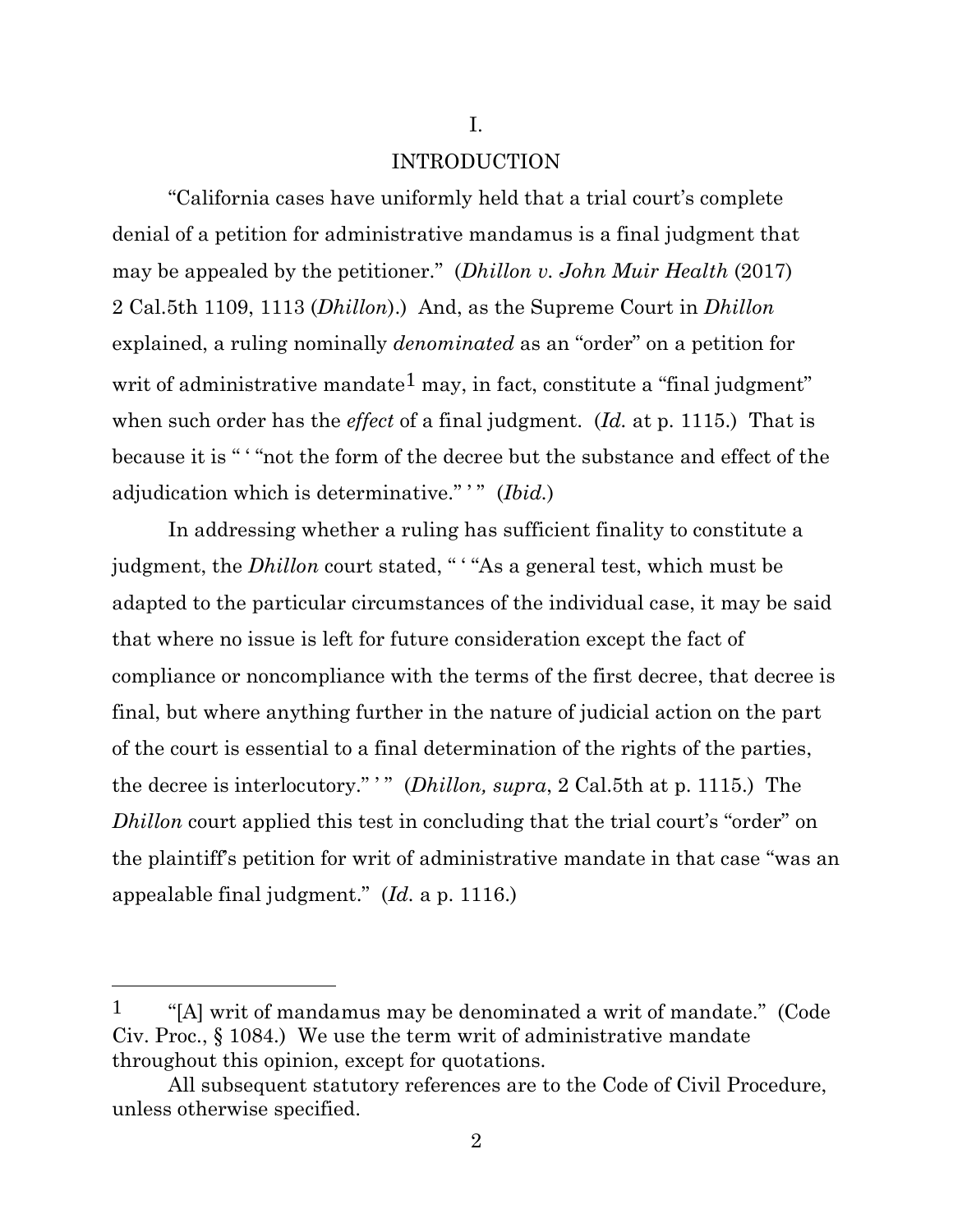### INTRODUCTION

I.

"California cases have uniformly held that a trial court's complete denial of a petition for administrative mandamus is a final judgment that may be appealed by the petitioner." (*Dhillon v. John Muir Health* (2017) 2 Cal.5th 1109, 1113 (*Dhillon*).) And, as the Supreme Court in *Dhillon*  explained, a ruling nominally *denominated* as an "order" on a petition for writ of administrative mandate<sup>1</sup> may, in fact, constitute a "final judgment" when such order has the *effect* of a final judgment. (*Id.* at p. 1115.) That is because it is " ' "not the form of the decree but the substance and effect of the adjudication which is determinative." ' " (*Ibid.*)

In addressing whether a ruling has sufficient finality to constitute a judgment, the *Dhillon* court stated, " ' "As a general test, which must be adapted to the particular circumstances of the individual case, it may be said that where no issue is left for future consideration except the fact of compliance or noncompliance with the terms of the first decree, that decree is final, but where anything further in the nature of judicial action on the part of the court is essential to a final determination of the rights of the parties, the decree is interlocutory." " (*Dhillon, supra*, 2 Cal.5th at p. 1115.) The *Dhillon* court applied this test in concluding that the trial court's "order" on the plaintiff's petition for writ of administrative mandate in that case "was an appealable final judgment." (*Id.* a p. 1116.)

2

<sup>&</sup>lt;sup>1</sup> "[A] writ of mandamus may be denominated a writ of mandate." (Code Civ. Proc., § 1084.) We use the term writ of administrative mandate throughout this opinion, except for quotations.

All subsequent statutory references are to the Code of Civil Procedure, unless otherwise specified.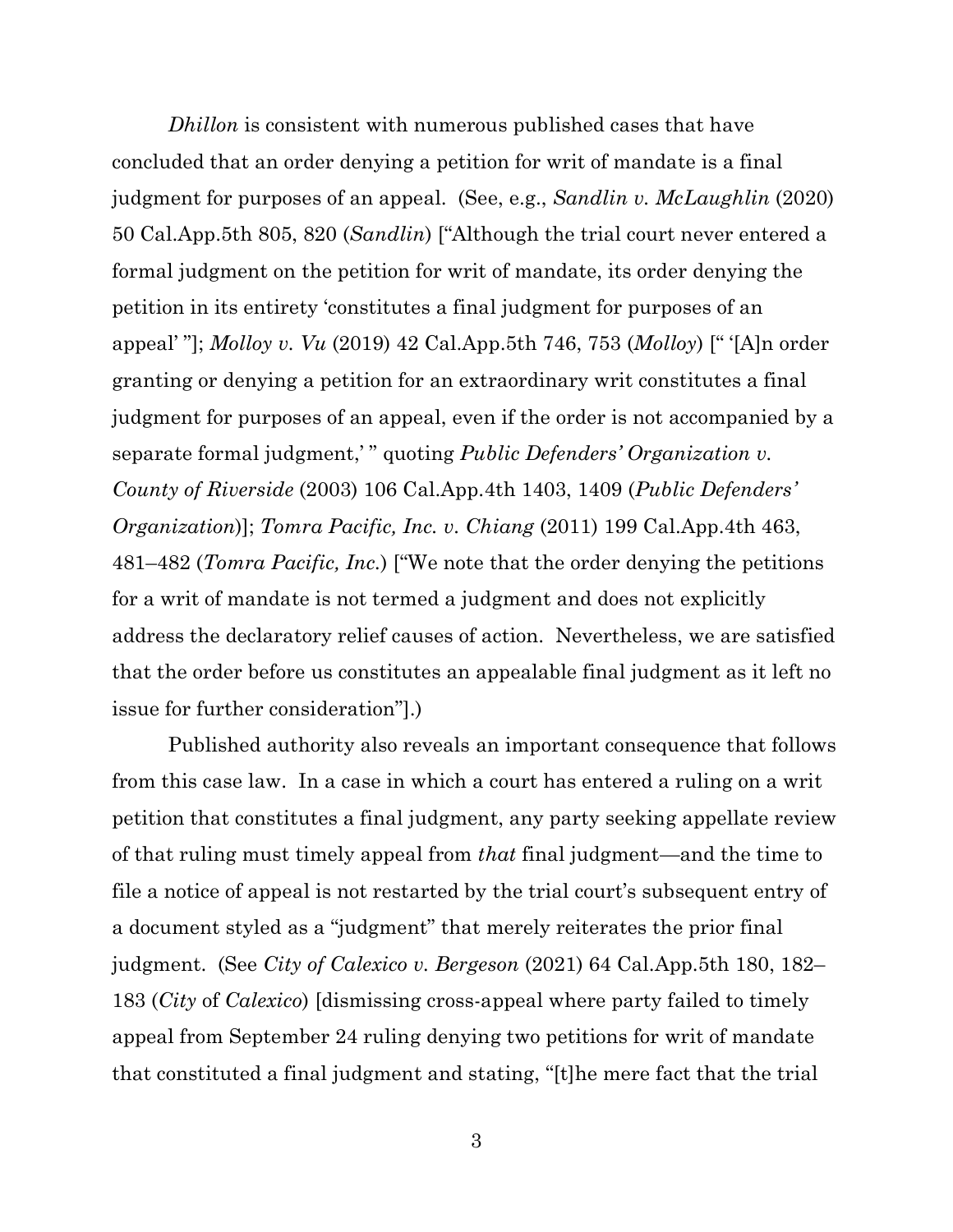*Dhillon* is consistent with numerous published cases that have concluded that an order denying a petition for writ of mandate is a final judgment for purposes of an appeal. (See, e.g., *Sandlin v. McLaughlin* (2020) 50 Cal.App.5th 805, 820 (*Sandlin*) ["Although the trial court never entered a formal judgment on the petition for writ of mandate, its order denying the petition in its entirety 'constitutes a final judgment for purposes of an appeal' "]; *Molloy v. Vu* (2019) 42 Cal.App.5th 746, 753 (*Molloy*) [" '[A]n order granting or denying a petition for an extraordinary writ constitutes a final judgment for purposes of an appeal, even if the order is not accompanied by a separate formal judgment,' " quoting *Public Defenders' Organization v. County of Riverside* (2003) 106 Cal.App.4th 1403, 1409 (*Public Defenders' Organization*)]; *Tomra Pacific, Inc. v. Chiang* (2011) 199 Cal.App.4th 463, 481–482 (*Tomra Pacific, Inc.*) ["We note that the order denying the petitions for a writ of mandate is not termed a judgment and does not explicitly address the declaratory relief causes of action. Nevertheless, we are satisfied that the order before us constitutes an appealable final judgment as it left no issue for further consideration"].)

Published authority also reveals an important consequence that follows from this case law. In a case in which a court has entered a ruling on a writ petition that constitutes a final judgment, any party seeking appellate review of that ruling must timely appeal from *that* final judgment—and the time to file a notice of appeal is not restarted by the trial court's subsequent entry of a document styled as a "judgment" that merely reiterates the prior final judgment. (See *City of Calexico v. Bergeson* (2021) 64 Cal.App.5th 180, 182– 183 (*City* of *Calexico*) [dismissing cross-appeal where party failed to timely appeal from September 24 ruling denying two petitions for writ of mandate that constituted a final judgment and stating, "[t]he mere fact that the trial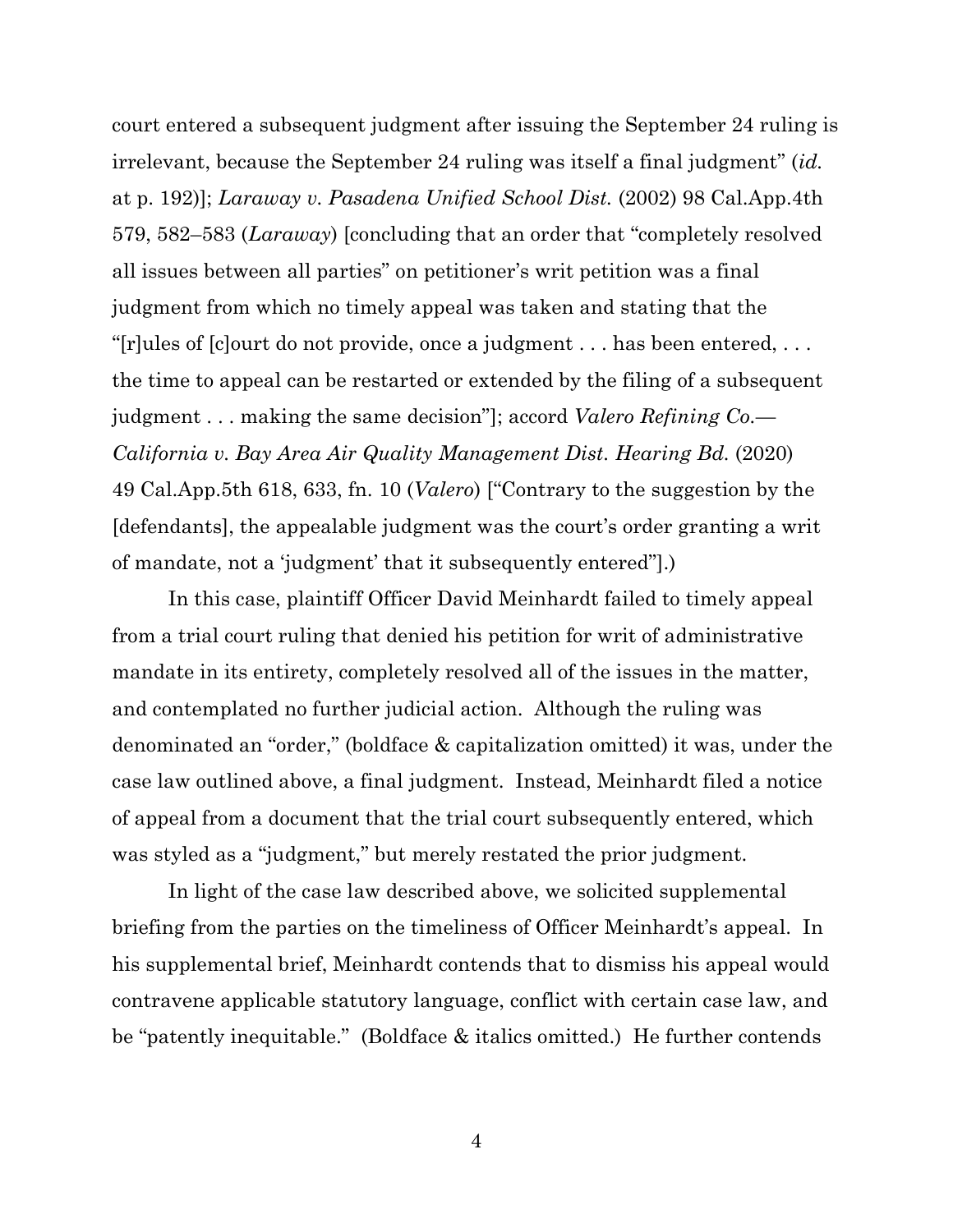court entered a subsequent judgment after issuing the September 24 ruling is irrelevant, because the September 24 ruling was itself a final judgment" (*id.* at p. 192)]; *Laraway v. Pasadena Unified School Dist.* (2002) 98 Cal.App.4th 579, 582–583 (*Laraway*) [concluding that an order that "completely resolved all issues between all parties" on petitioner's writ petition was a final judgment from which no timely appeal was taken and stating that the "[r]ules of [c]ourt do not provide, once a judgment . . . has been entered, . . . the time to appeal can be restarted or extended by the filing of a subsequent judgment . . . making the same decision"]; accord *Valero Refining Co.— California v. Bay Area Air Quality Management Dist. Hearing Bd.* (2020) 49 Cal.App.5th 618, 633, fn. 10 (*Valero*) ["Contrary to the suggestion by the [defendants], the appealable judgment was the court's order granting a writ of mandate, not a 'judgment' that it subsequently entered"].)

In this case, plaintiff Officer David Meinhardt failed to timely appeal from a trial court ruling that denied his petition for writ of administrative mandate in its entirety, completely resolved all of the issues in the matter, and contemplated no further judicial action. Although the ruling was denominated an "order," (boldface & capitalization omitted) it was, under the case law outlined above, a final judgment. Instead, Meinhardt filed a notice of appeal from a document that the trial court subsequently entered, which was styled as a "judgment," but merely restated the prior judgment.

In light of the case law described above, we solicited supplemental briefing from the parties on the timeliness of Officer Meinhardt's appeal. In his supplemental brief, Meinhardt contends that to dismiss his appeal would contravene applicable statutory language, conflict with certain case law, and be "patently inequitable." (Boldface & italics omitted.) He further contends

4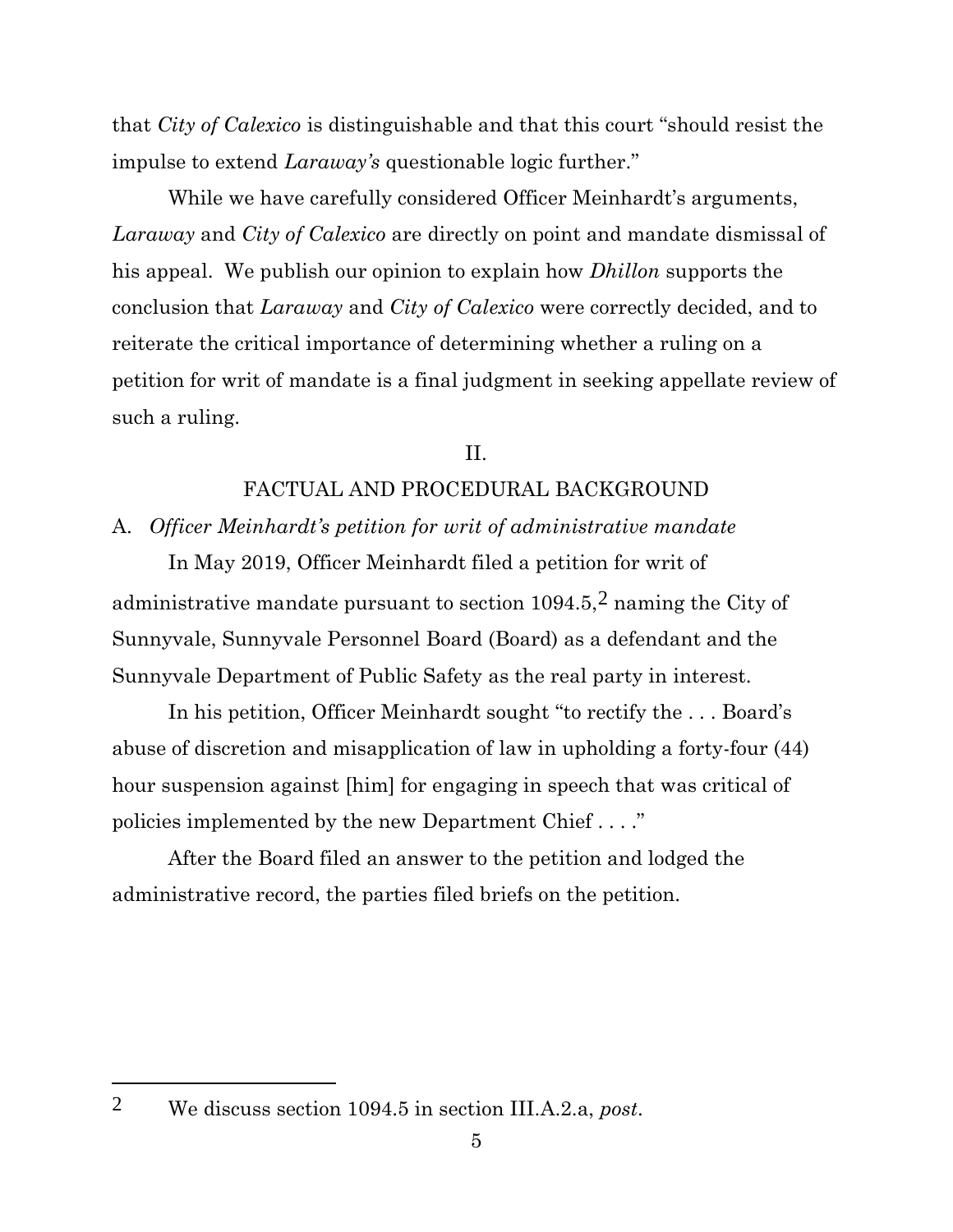that *City of Calexico* is distinguishable and that this court "should resist the impulse to extend *Laraway's* questionable logic further."

While we have carefully considered Officer Meinhardt's arguments, *Laraway* and *City of Calexico* are directly on point and mandate dismissal of his appeal. We publish our opinion to explain how *Dhillon* supports the conclusion that *Laraway* and *City of Calexico* were correctly decided, and to reiterate the critical importance of determining whether a ruling on a petition for writ of mandate is a final judgment in seeking appellate review of such a ruling.

II.

### FACTUAL AND PROCEDURAL BACKGROUND

A. *Officer Meinhardt's petition for writ of administrative mandate*

In May 2019, Officer Meinhardt filed a petition for writ of administrative mandate pursuant to section  $1094.5$ ,  $2$  naming the City of Sunnyvale, Sunnyvale Personnel Board (Board) as a defendant and the Sunnyvale Department of Public Safety as the real party in interest.

In his petition, Officer Meinhardt sought "to rectify the . . . Board's abuse of discretion and misapplication of law in upholding a forty-four (44) hour suspension against [him] for engaging in speech that was critical of policies implemented by the new Department Chief . . . ."

After the Board filed an answer to the petition and lodged the administrative record, the parties filed briefs on the petition.

<sup>2</sup> We discuss section 1094.5 in section III.A.2.a, *post*.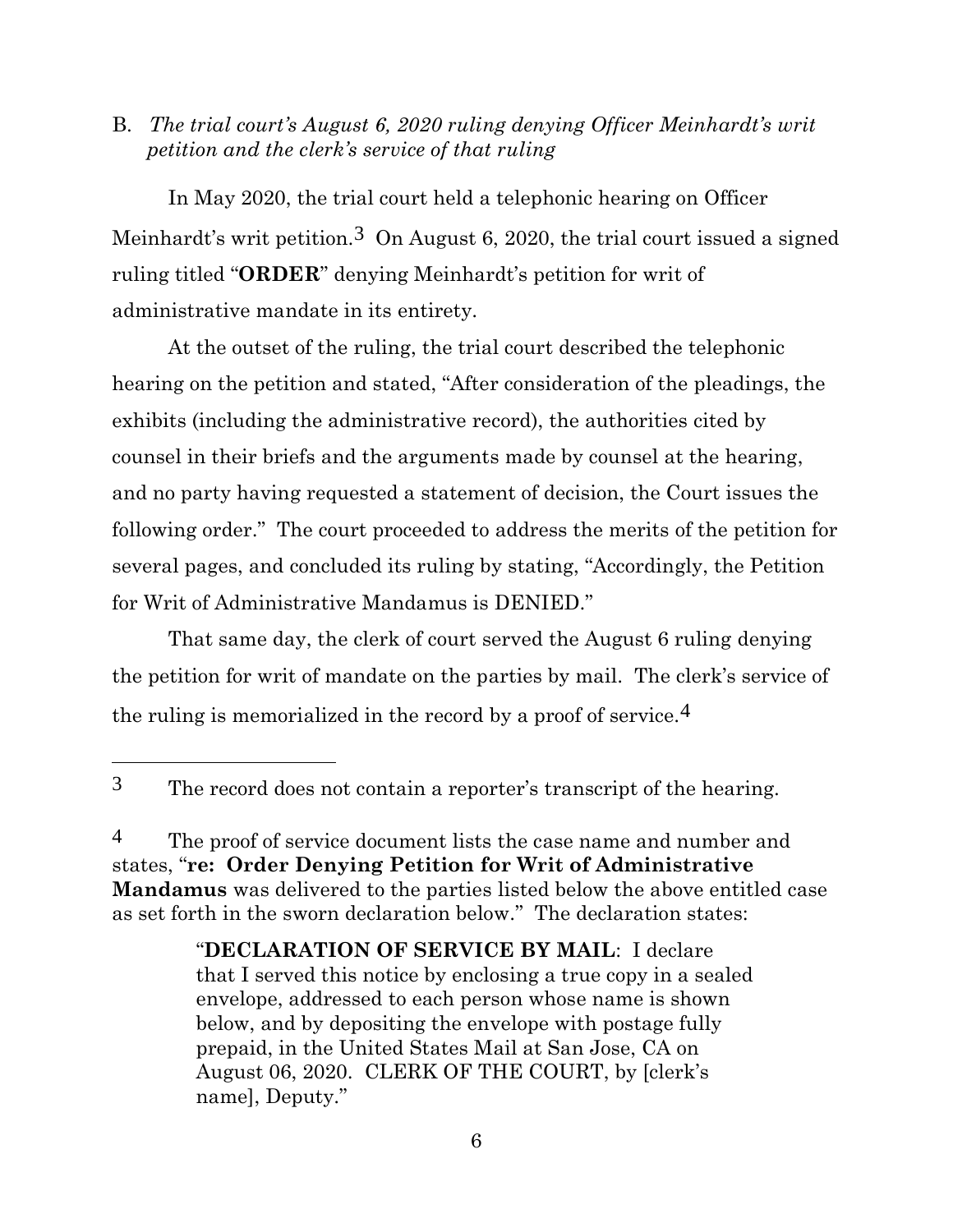B. *The trial court's August 6, 2020 ruling denying Officer Meinhardt's writ petition and the clerk's service of that ruling*

In May 2020, the trial court held a telephonic hearing on Officer Meinhardt's writ petition.3 On August 6, 2020, the trial court issued a signed ruling titled "**ORDER**" denying Meinhardt's petition for writ of administrative mandate in its entirety.

At the outset of the ruling, the trial court described the telephonic hearing on the petition and stated, "After consideration of the pleadings, the exhibits (including the administrative record), the authorities cited by counsel in their briefs and the arguments made by counsel at the hearing, and no party having requested a statement of decision, the Court issues the following order." The court proceeded to address the merits of the petition for several pages, and concluded its ruling by stating, "Accordingly, the Petition for Writ of Administrative Mandamus is DENIED."

That same day, the clerk of court served the August 6 ruling denying the petition for writ of mandate on the parties by mail. The clerk's service of the ruling is memorialized in the record by a proof of service.4

<sup>&</sup>lt;sup>3</sup> The record does not contain a reporter's transcript of the hearing.

<sup>&</sup>lt;sup>4</sup> The proof of service document lists the case name and number and states, "**re: Order Denying Petition for Writ of Administrative Mandamus** was delivered to the parties listed below the above entitled case as set forth in the sworn declaration below." The declaration states:

<sup>&</sup>quot;**DECLARATION OF SERVICE BY MAIL**: I declare that I served this notice by enclosing a true copy in a sealed envelope, addressed to each person whose name is shown below, and by depositing the envelope with postage fully prepaid, in the United States Mail at San Jose, CA on August 06, 2020. CLERK OF THE COURT, by [clerk's name], Deputy."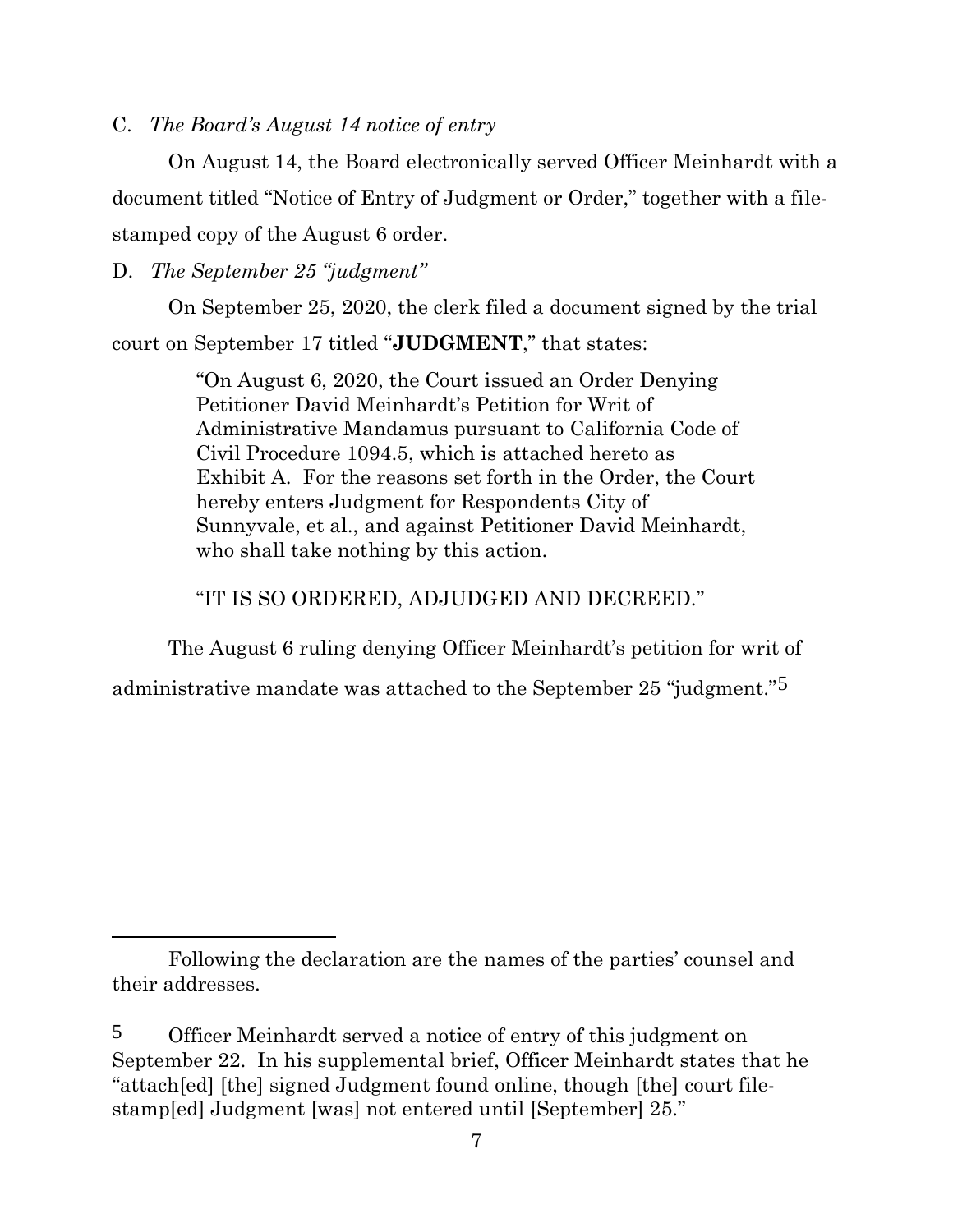C. *The Board's August 14 notice of entry*

On August 14, the Board electronically served Officer Meinhardt with a document titled "Notice of Entry of Judgment or Order," together with a filestamped copy of the August 6 order.

D. *The September 25 "judgment"*

On September 25, 2020, the clerk filed a document signed by the trial court on September 17 titled "**JUDGMENT**," that states:

> "On August 6, 2020, the Court issued an Order Denying Petitioner David Meinhardt's Petition for Writ of Administrative Mandamus pursuant to California Code of Civil Procedure 1094.5, which is attached hereto as Exhibit A. For the reasons set forth in the Order, the Court hereby enters Judgment for Respondents City of Sunnyvale, et al., and against Petitioner David Meinhardt, who shall take nothing by this action.

"IT IS SO ORDERED, ADJUDGED AND DECREED."

The August 6 ruling denying Officer Meinhardt's petition for writ of

administrative mandate was attached to the September 25 "judgment."5

Following the declaration are the names of the parties' counsel and their addresses.

<sup>5</sup> Officer Meinhardt served a notice of entry of this judgment on September 22. In his supplemental brief, Officer Meinhardt states that he "attach[ed] [the] signed Judgment found online, though [the] court filestamp[ed] Judgment [was] not entered until [September] 25."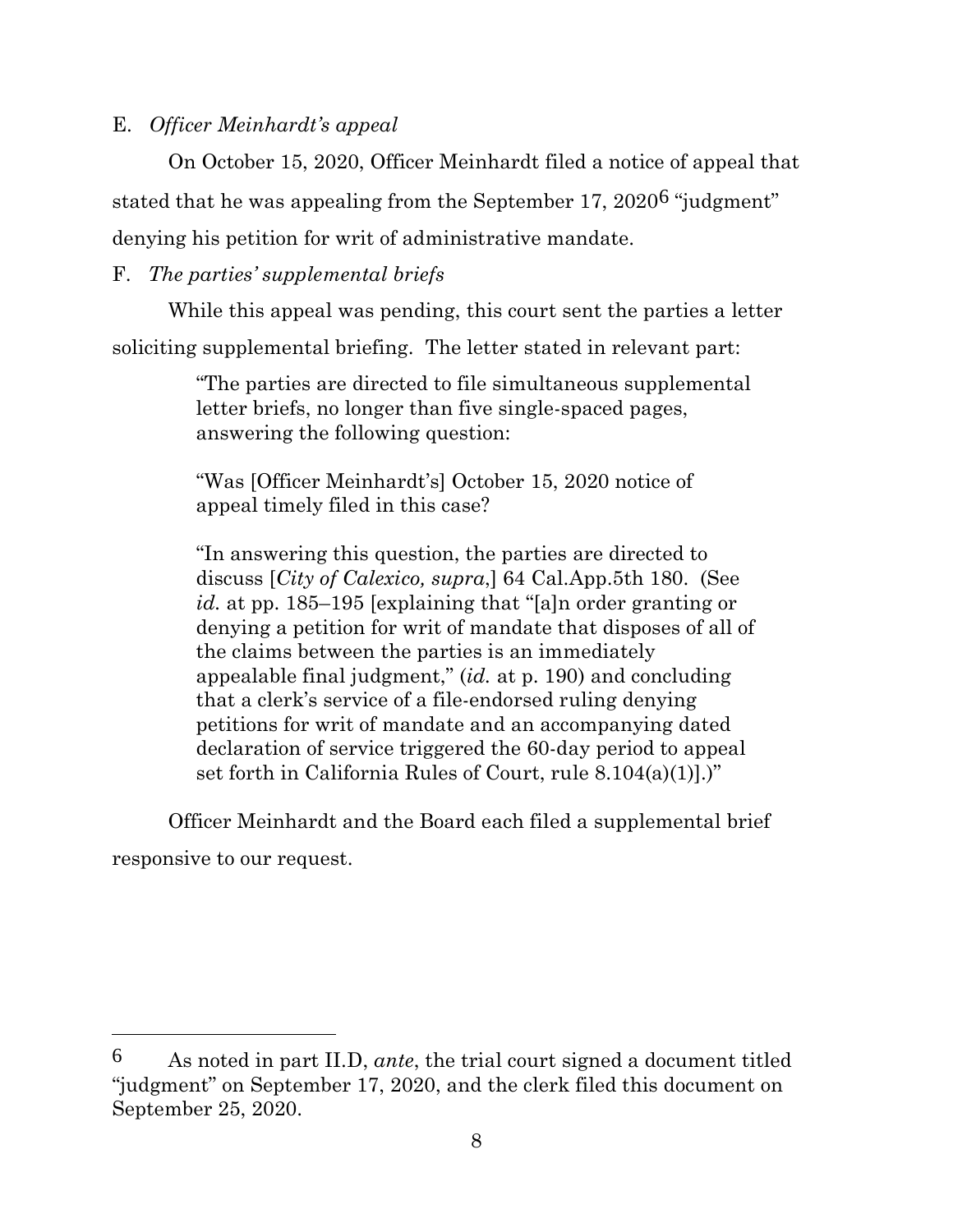### E. *Officer Meinhardt's appeal*

On October 15, 2020, Officer Meinhardt filed a notice of appeal that

stated that he was appealing from the September 17, 20206 "judgment" denying his petition for writ of administrative mandate.

## F. *The parties' supplemental briefs*

While this appeal was pending, this court sent the parties a letter

soliciting supplemental briefing. The letter stated in relevant part:

"The parties are directed to file simultaneous supplemental letter briefs, no longer than five single-spaced pages, answering the following question:

"Was [Officer Meinhardt's] October 15, 2020 notice of appeal timely filed in this case?

"In answering this question, the parties are directed to discuss [*City of Calexico, supra*,] 64 Cal.App.5th 180. (See *id.* at pp. 185–195 [explaining that "[a]n order granting or denying a petition for writ of mandate that disposes of all of the claims between the parties is an immediately appealable final judgment," (*id.* at p. 190) and concluding that a clerk's service of a file-endorsed ruling denying petitions for writ of mandate and an accompanying dated declaration of service triggered the 60-day period to appeal set forth in California Rules of Court, rule 8.104(a)(1)].)"

Officer Meinhardt and the Board each filed a supplemental brief responsive to our request.

<sup>6</sup> As noted in part II.D, *ante*, the trial court signed a document titled "judgment" on September 17, 2020, and the clerk filed this document on September 25, 2020.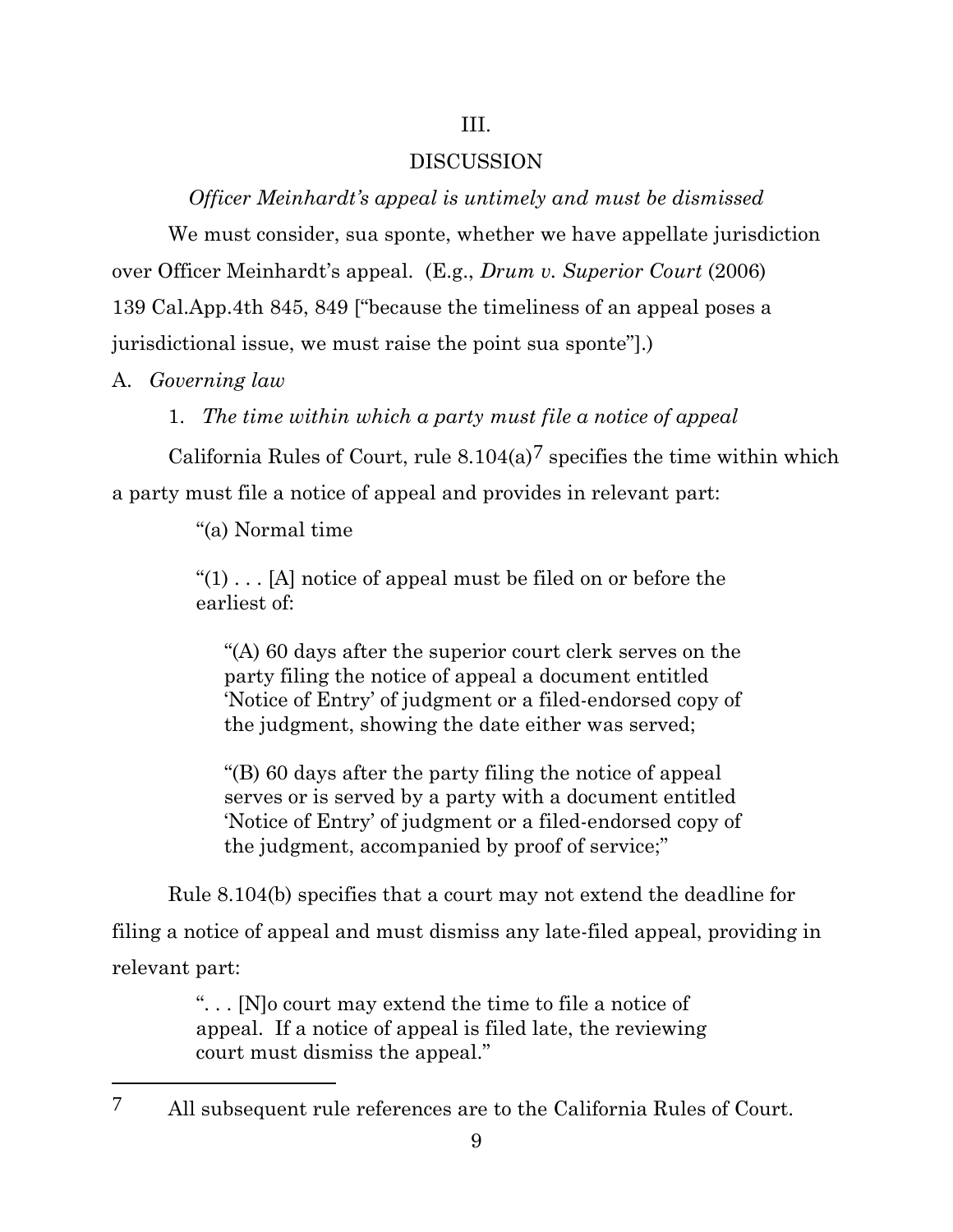### III.

#### DISCUSSION

*Officer Meinhardt's appeal is untimely and must be dismissed*

We must consider, sua sponte, whether we have appellate jurisdiction over Officer Meinhardt's appeal. (E.g., *Drum v. Superior Court* (2006) 139 Cal.App.4th 845, 849 ["because the timeliness of an appeal poses a jurisdictional issue, we must raise the point sua sponte"].)

A. *Governing law*

1. *The time within which a party must file a notice of appeal*

California Rules of Court, rule  $8.104(a)^7$  specifies the time within which a party must file a notice of appeal and provides in relevant part:

"(a) Normal time

" $(1)$ ... [A] notice of appeal must be filed on or before the earliest of:

"(A) 60 days after the superior court clerk serves on the party filing the notice of appeal a document entitled 'Notice of Entry' of judgment or a filed-endorsed copy of the judgment, showing the date either was served;

"(B) 60 days after the party filing the notice of appeal serves or is served by a party with a document entitled 'Notice of Entry' of judgment or a filed-endorsed copy of the judgment, accompanied by proof of service;"

Rule 8.104(b) specifies that a court may not extend the deadline for filing a notice of appeal and must dismiss any late-filed appeal, providing in relevant part:

> ". . . [N]o court may extend the time to file a notice of appeal. If a notice of appeal is filed late, the reviewing court must dismiss the appeal."

<sup>7</sup> All subsequent rule references are to the California Rules of Court.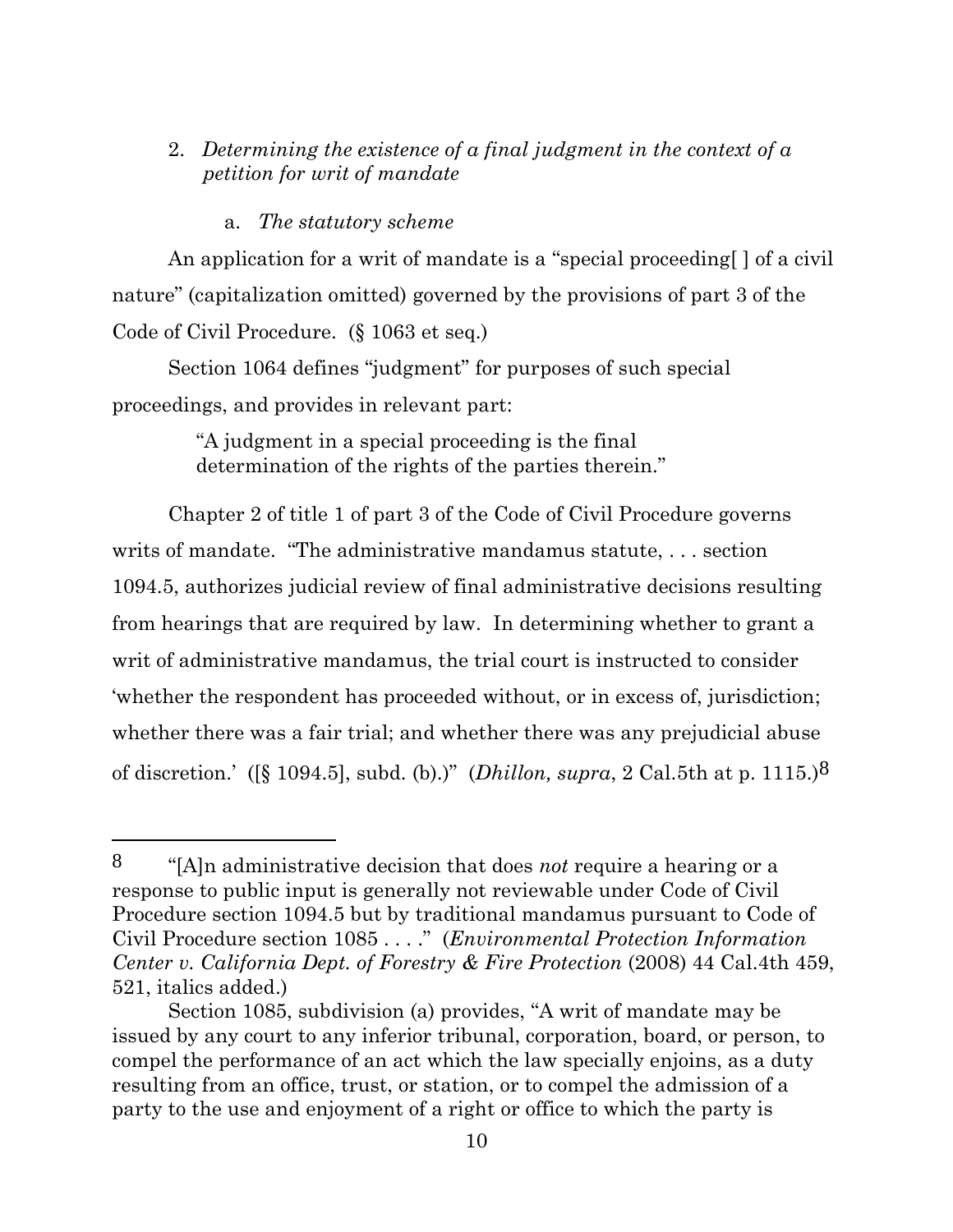## 2. *Determining the existence of a final judgment in the context of a petition for writ of mandate*

### a. *The statutory scheme*

An application for a writ of mandate is a "special proceeding[ ] of a civil nature" (capitalization omitted) governed by the provisions of part 3 of the Code of Civil Procedure. (§ 1063 et seq.)

Section 1064 defines "judgment" for purposes of such special proceedings, and provides in relevant part:

> "A judgment in a special proceeding is the final determination of the rights of the parties therein."

Chapter 2 of title 1 of part 3 of the Code of Civil Procedure governs writs of mandate. "The administrative mandamus statute, . . . section 1094.5, authorizes judicial review of final administrative decisions resulting from hearings that are required by law. In determining whether to grant a writ of administrative mandamus, the trial court is instructed to consider 'whether the respondent has proceeded without, or in excess of, jurisdiction; whether there was a fair trial; and whether there was any prejudicial abuse of discretion.' ([§ 1094.5], subd. (b).)" (*Dhillon, supra*, 2 Cal.5th at p. 1115.)8

<sup>8</sup> "[A]n administrative decision that does *not* require a hearing or a response to public input is generally not reviewable under Code of Civil Procedure section 1094.5 but by traditional mandamus pursuant to Code of Civil Procedure section 1085 . . . ." (*Environmental Protection Information Center v. California Dept. of Forestry & Fire Protection* (2008) 44 Cal.4th 459, 521, italics added.)

Section 1085, subdivision (a) provides, "A writ of mandate may be issued by any court to any inferior tribunal, corporation, board, or person, to compel the performance of an act which the law specially enjoins, as a duty resulting from an office, trust, or station, or to compel the admission of a party to the use and enjoyment of a right or office to which the party is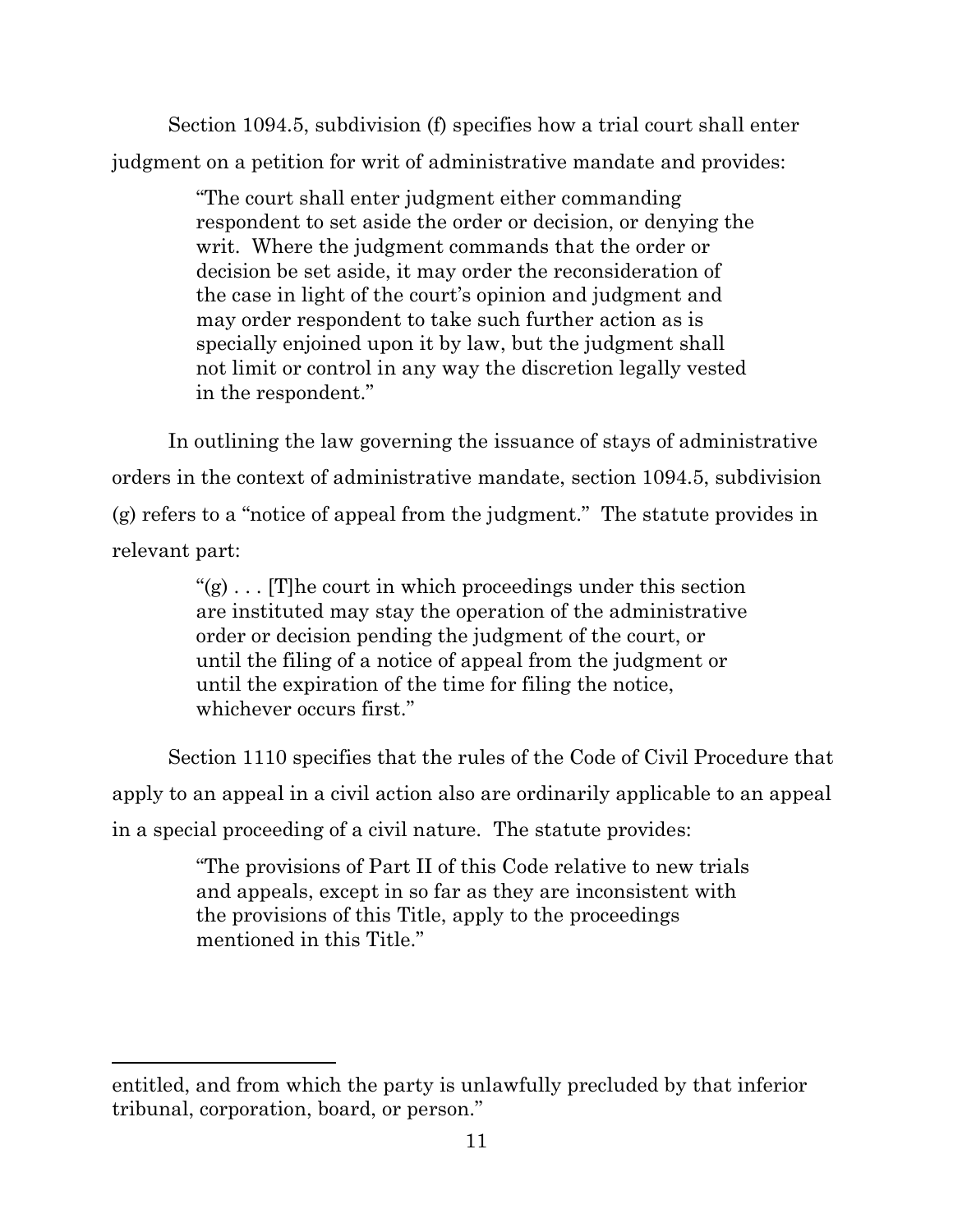Section 1094.5, subdivision (f) specifies how a trial court shall enter judgment on a petition for writ of administrative mandate and provides:

> "The court shall enter judgment either commanding respondent to set aside the order or decision, or denying the writ. Where the judgment commands that the order or decision be set aside, it may order the reconsideration of the case in light of the court's opinion and judgment and may order respondent to take such further action as is specially enjoined upon it by law, but the judgment shall not limit or control in any way the discretion legally vested in the respondent."

In outlining the law governing the issuance of stays of administrative orders in the context of administrative mandate, section 1094.5, subdivision (g) refers to a "notice of appeal from the judgment." The statute provides in relevant part:

> " $(g) \ldots$  [T] he court in which proceedings under this section" are instituted may stay the operation of the administrative order or decision pending the judgment of the court, or until the filing of a notice of appeal from the judgment or until the expiration of the time for filing the notice, whichever occurs first."

Section 1110 specifies that the rules of the Code of Civil Procedure that apply to an appeal in a civil action also are ordinarily applicable to an appeal in a special proceeding of a civil nature. The statute provides:

> "The provisions of Part II of this Code relative to new trials and appeals, except in so far as they are inconsistent with the provisions of this Title, apply to the proceedings mentioned in this Title."

entitled, and from which the party is unlawfully precluded by that inferior tribunal, corporation, board, or person."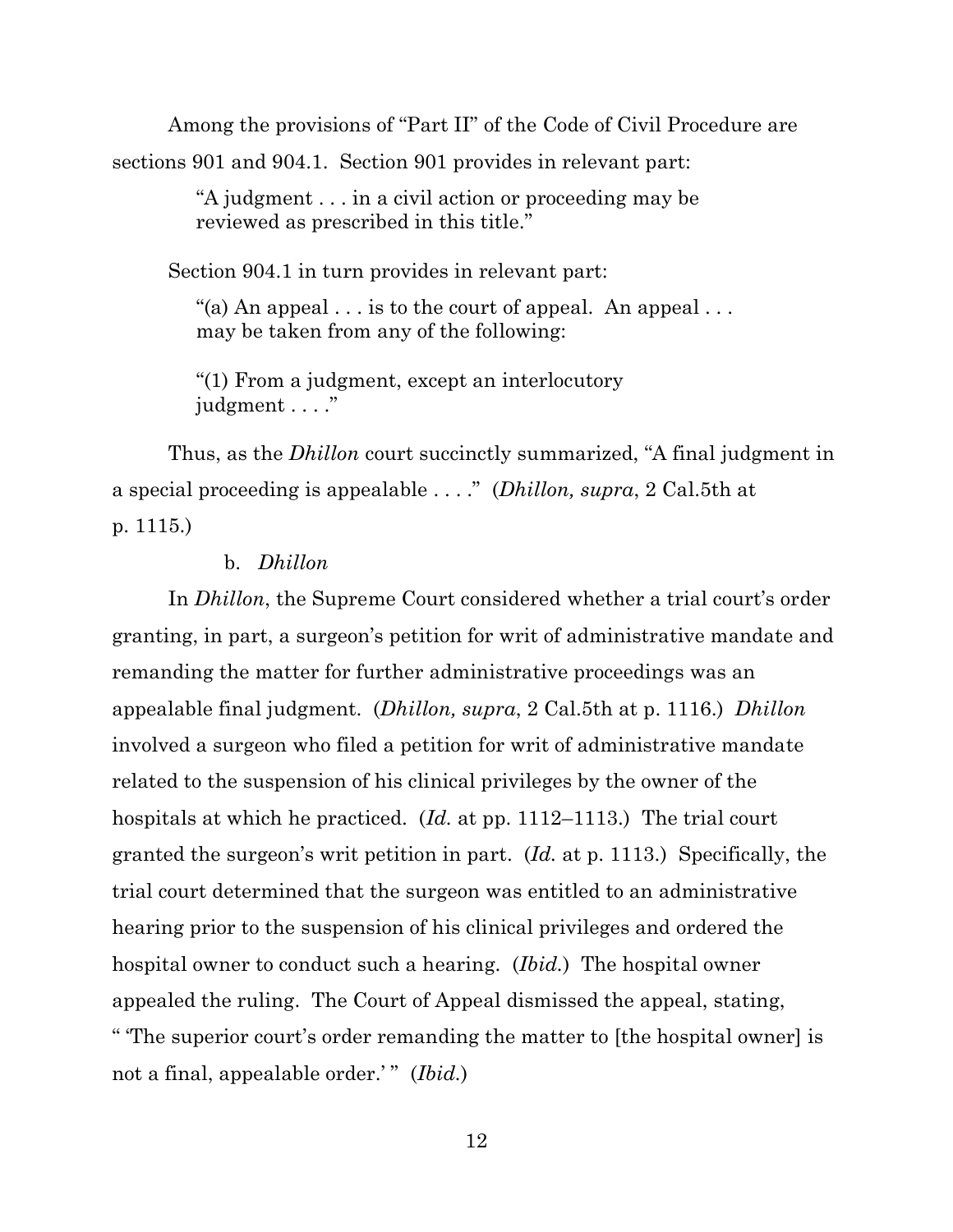Among the provisions of "Part II" of the Code of Civil Procedure are

sections 901 and 904.1. Section 901 provides in relevant part:

"A judgment . . . in a civil action or proceeding may be reviewed as prescribed in this title."

Section 904.1 in turn provides in relevant part:

"(a) An appeal  $\dots$  is to the court of appeal. An appeal  $\dots$ may be taken from any of the following:

"(1) From a judgment, except an interlocutory judgment . . . ."

Thus, as the *Dhillon* court succinctly summarized, "A final judgment in a special proceeding is appealable . . . ." (*Dhillon, supra*, 2 Cal.5th at p. 1115.)

#### b. *Dhillon*

In *Dhillon*, the Supreme Court considered whether a trial court's order granting, in part, a surgeon's petition for writ of administrative mandate and remanding the matter for further administrative proceedings was an appealable final judgment. (*Dhillon, supra*, 2 Cal.5th at p. 1116.) *Dhillon* involved a surgeon who filed a petition for writ of administrative mandate related to the suspension of his clinical privileges by the owner of the hospitals at which he practiced. (*Id.* at pp. 1112–1113.) The trial court granted the surgeon's writ petition in part. (*Id.* at p. 1113.) Specifically, the trial court determined that the surgeon was entitled to an administrative hearing prior to the suspension of his clinical privileges and ordered the hospital owner to conduct such a hearing. (*Ibid.*) The hospital owner appealed the ruling. The Court of Appeal dismissed the appeal, stating, " 'The superior court's order remanding the matter to [the hospital owner] is not a final, appealable order.'" (*Ibid.*)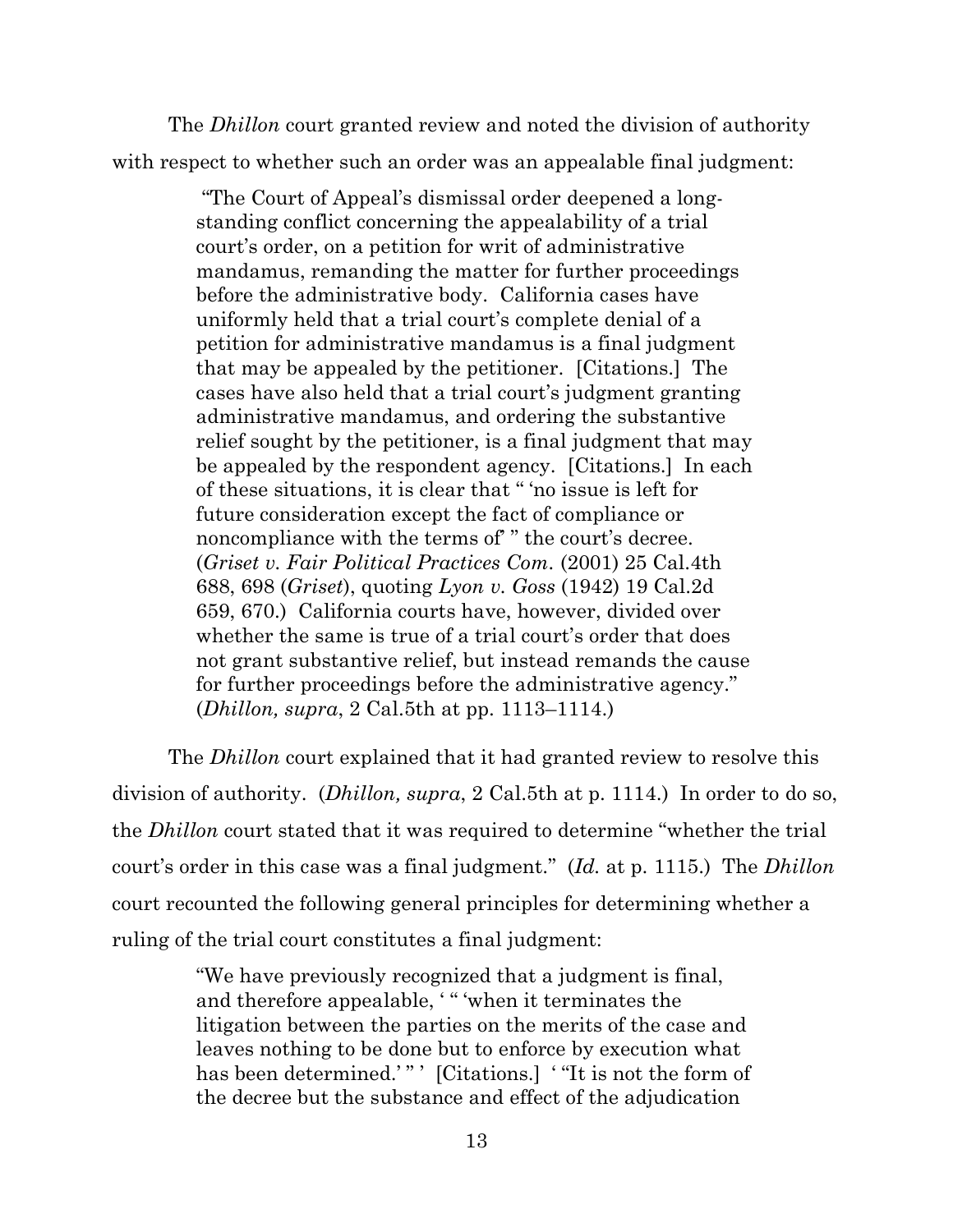The *Dhillon* court granted review and noted the division of authority with respect to whether such an order was an appealable final judgment:

> "The Court of Appeal's dismissal order deepened a longstanding conflict concerning the appealability of a trial court's order, on a petition for writ of administrative mandamus, remanding the matter for further proceedings before the administrative body. California cases have uniformly held that a trial court's complete denial of a petition for administrative mandamus is a final judgment that may be appealed by the petitioner. [Citations.] The cases have also held that a trial court's judgment granting administrative mandamus, and ordering the substantive relief sought by the petitioner, is a final judgment that may be appealed by the respondent agency. [Citations.] In each of these situations, it is clear that " 'no issue is left for future consideration except the fact of compliance or noncompliance with the terms of " the court's decree. (*Griset v. Fair Political Practices Com.* (2001) 25 Cal.4th 688, 698 (*Griset*), quoting *Lyon v. Goss* (1942) 19 Cal.2d 659, 670.) California courts have, however, divided over whether the same is true of a trial court's order that does not grant substantive relief, but instead remands the cause for further proceedings before the administrative agency." (*Dhillon, supra*, 2 Cal.5th at pp. 1113–1114.)

The *Dhillon* court explained that it had granted review to resolve this division of authority. (*Dhillon, supra*, 2 Cal.5th at p. 1114.) In order to do so, the *Dhillon* court stated that it was required to determine "whether the trial court's order in this case was a final judgment." (*Id.* at p. 1115.) The *Dhillon* court recounted the following general principles for determining whether a ruling of the trial court constitutes a final judgment:

> "We have previously recognized that a judgment is final, and therefore appealable, "" when it terminates the litigation between the parties on the merits of the case and leaves nothing to be done but to enforce by execution what has been determined.'"' [Citations.] "It is not the form of the decree but the substance and effect of the adjudication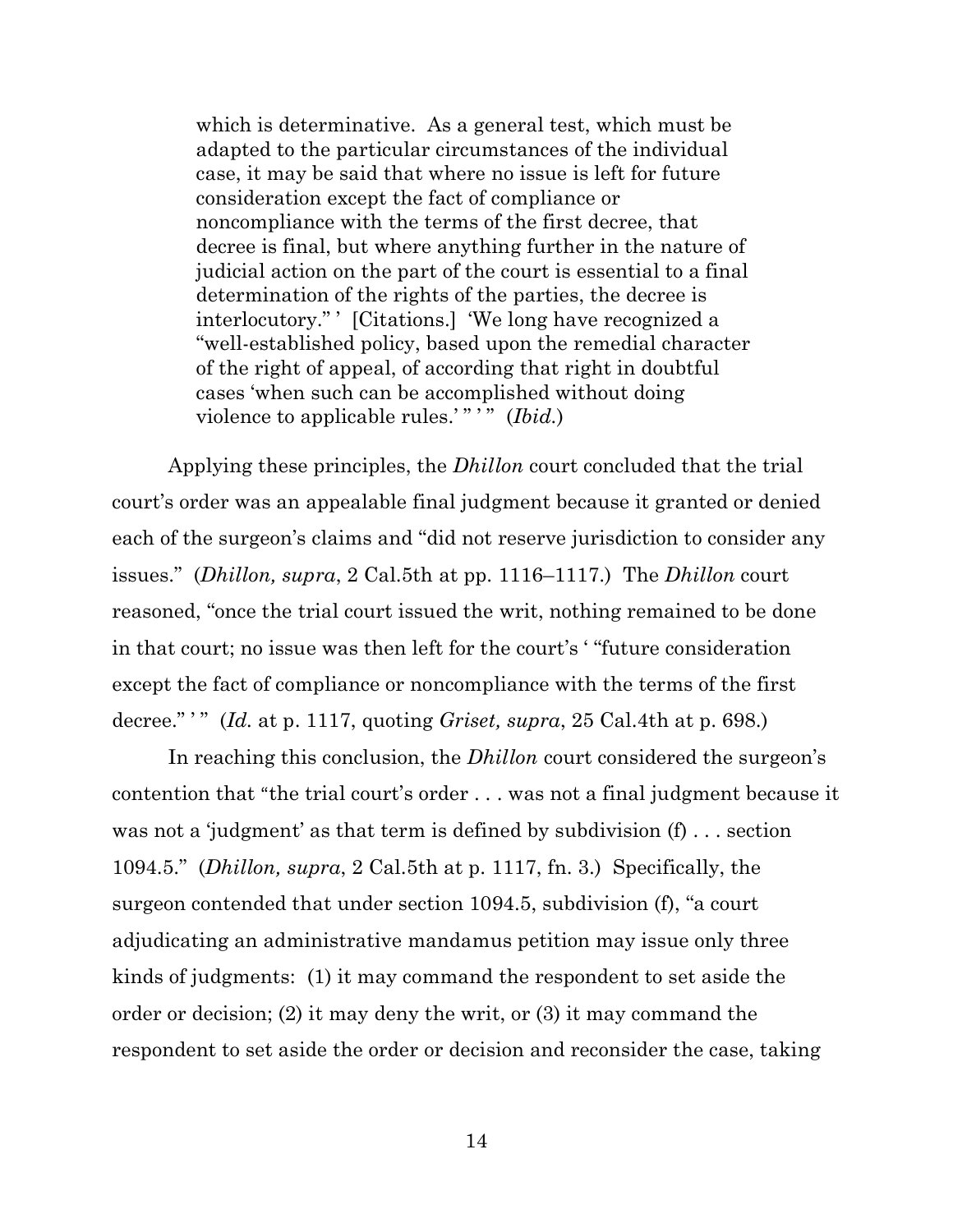which is determinative. As a general test, which must be adapted to the particular circumstances of the individual case, it may be said that where no issue is left for future consideration except the fact of compliance or noncompliance with the terms of the first decree, that decree is final, but where anything further in the nature of judicial action on the part of the court is essential to a final determination of the rights of the parties, the decree is interlocutory." ' [Citations.] 'We long have recognized a "well-established policy, based upon the remedial character of the right of appeal, of according that right in doubtful cases 'when such can be accomplished without doing violence to applicable rules.'" " (*Ibid.*)

Applying these principles, the *Dhillon* court concluded that the trial court's order was an appealable final judgment because it granted or denied each of the surgeon's claims and "did not reserve jurisdiction to consider any issues." (*Dhillon, supra*, 2 Cal.5th at pp. 1116–1117.) The *Dhillon* court reasoned, "once the trial court issued the writ, nothing remained to be done in that court; no issue was then left for the court's ' "future consideration except the fact of compliance or noncompliance with the terms of the first decree." ' " (*Id.* at p. 1117, quoting *Griset, supra*, 25 Cal.4th at p. 698.)

In reaching this conclusion, the *Dhillon* court considered the surgeon's contention that "the trial court's order . . . was not a final judgment because it was not a 'judgment' as that term is defined by subdivision (f) . . . section 1094.5." (*Dhillon, supra*, 2 Cal.5th at p. 1117, fn. 3.) Specifically, the surgeon contended that under section 1094.5, subdivision (f), "a court adjudicating an administrative mandamus petition may issue only three kinds of judgments: (1) it may command the respondent to set aside the order or decision; (2) it may deny the writ, or (3) it may command the respondent to set aside the order or decision and reconsider the case, taking

14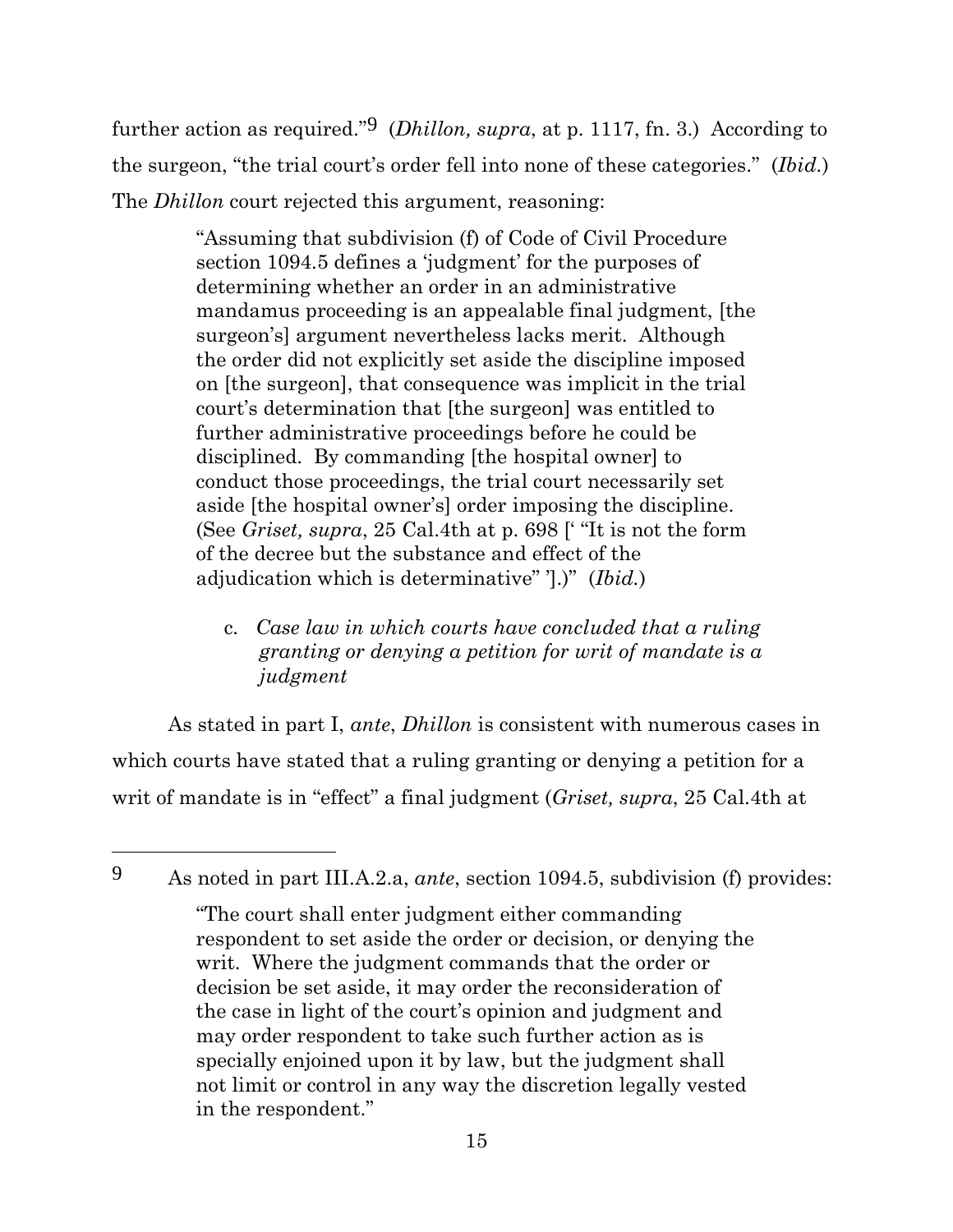further action as required."9 (*Dhillon, supra*, at p. 1117, fn. 3.) According to the surgeon, "the trial court's order fell into none of these categories." (*Ibid.*) The *Dhillon* court rejected this argument, reasoning:

> "Assuming that subdivision (f) of Code of Civil Procedure section 1094.5 defines a 'judgment' for the purposes of determining whether an order in an administrative mandamus proceeding is an appealable final judgment, [the surgeon's] argument nevertheless lacks merit. Although the order did not explicitly set aside the discipline imposed on [the surgeon], that consequence was implicit in the trial court's determination that [the surgeon] was entitled to further administrative proceedings before he could be disciplined. By commanding [the hospital owner] to conduct those proceedings, the trial court necessarily set aside [the hospital owner's] order imposing the discipline. (See *Griset, supra*, 25 Cal.4th at p. 698 [' "It is not the form of the decree but the substance and effect of the adjudication which is determinative" '].)" (*Ibid.*)

c*. Case law in which courts have concluded that a ruling granting or denying a petition for writ of mandate is a judgment*

As stated in part I, *ante*, *Dhillon* is consistent with numerous cases in which courts have stated that a ruling granting or denying a petition for a writ of mandate is in "effect" a final judgment (*Griset, supra*, 25 Cal.4th at

<sup>9</sup> As noted in part III.A.2.a, *ante*, section 1094.5, subdivision (f) provides:

<sup>&</sup>quot;The court shall enter judgment either commanding respondent to set aside the order or decision, or denying the writ. Where the judgment commands that the order or decision be set aside, it may order the reconsideration of the case in light of the court's opinion and judgment and may order respondent to take such further action as is specially enjoined upon it by law, but the judgment shall not limit or control in any way the discretion legally vested in the respondent."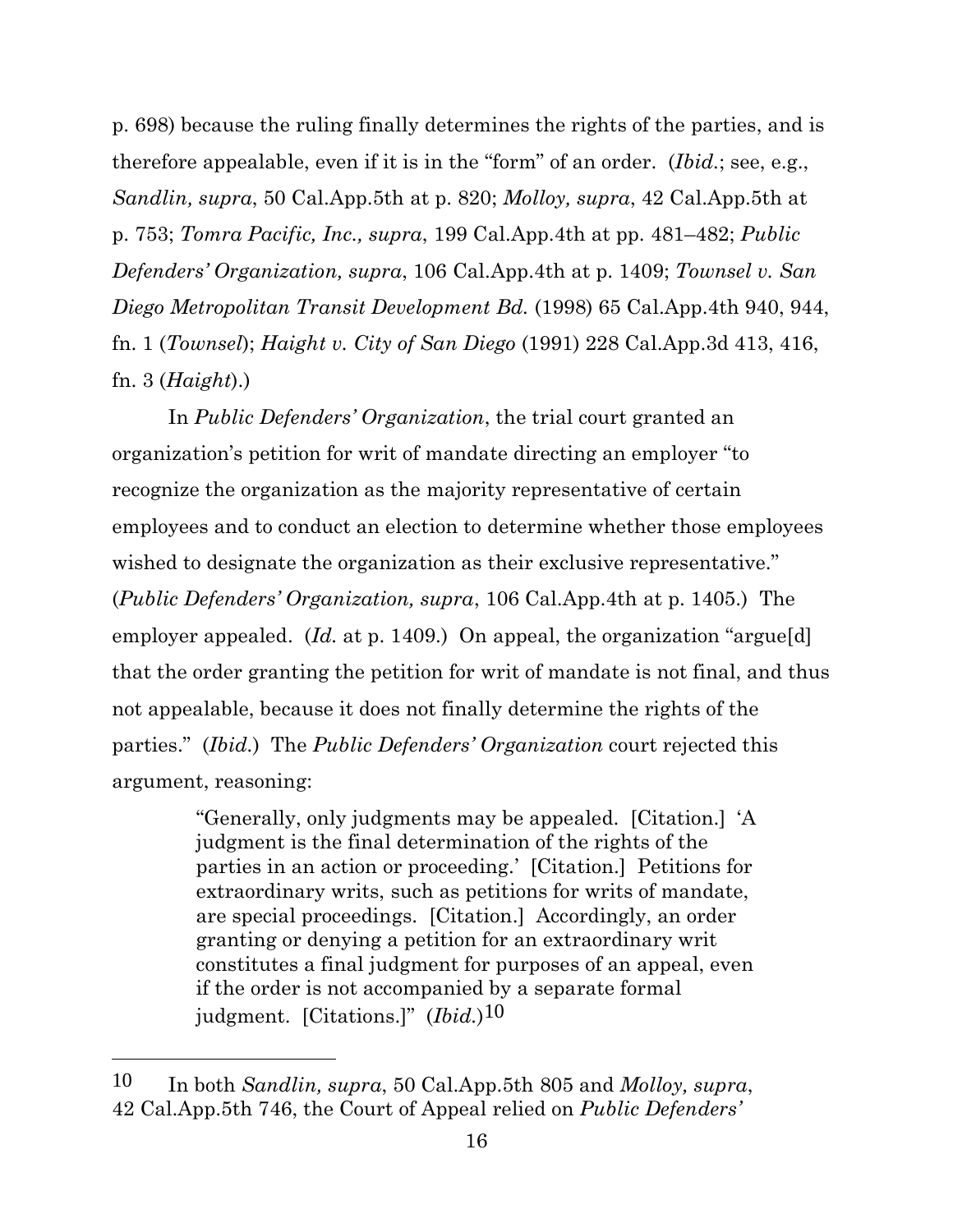p. 698) because the ruling finally determines the rights of the parties, and is therefore appealable, even if it is in the "form" of an order. (*Ibid.*; see, e.g., *Sandlin, supra*, 50 Cal.App.5th at p. 820; *Molloy, supra*, 42 Cal.App.5th at p. 753; *Tomra Pacific, Inc., supra*, 199 Cal.App.4th at pp. 481–482; *Public Defenders' Organization, supra*, 106 Cal.App.4th at p. 1409; *Townsel v. San Diego Metropolitan Transit Development Bd.* (1998) 65 Cal.App.4th 940, 944, fn. 1 (*Townsel*); *Haight v. City of San Diego* (1991) 228 Cal.App.3d 413, 416, fn. 3 (*Haight*).)

In *Public Defenders' Organization*, the trial court granted an organization's petition for writ of mandate directing an employer "to recognize the organization as the majority representative of certain employees and to conduct an election to determine whether those employees wished to designate the organization as their exclusive representative." (*Public Defenders' Organization, supra*, 106 Cal.App.4th at p. 1405.) The employer appealed. (*Id.* at p. 1409.) On appeal, the organization "argue<sup>[d]</sup> that the order granting the petition for writ of mandate is not final, and thus not appealable, because it does not finally determine the rights of the parties." (*Ibid.*) The *Public Defenders' Organization* court rejected this argument, reasoning:

> "Generally, only judgments may be appealed. [Citation.] 'A judgment is the final determination of the rights of the parties in an action or proceeding.' [Citation.] Petitions for extraordinary writs, such as petitions for writs of mandate, are special proceedings. [Citation.] Accordingly, an order granting or denying a petition for an extraordinary writ constitutes a final judgment for purposes of an appeal, even if the order is not accompanied by a separate formal judgment. [Citations.]" (*Ibid.*)10

<sup>10</sup> In both *Sandlin, supra*, 50 Cal.App.5th 805 and *Molloy, supra*, 42 Cal.App.5th 746, the Court of Appeal relied on *Public Defenders'*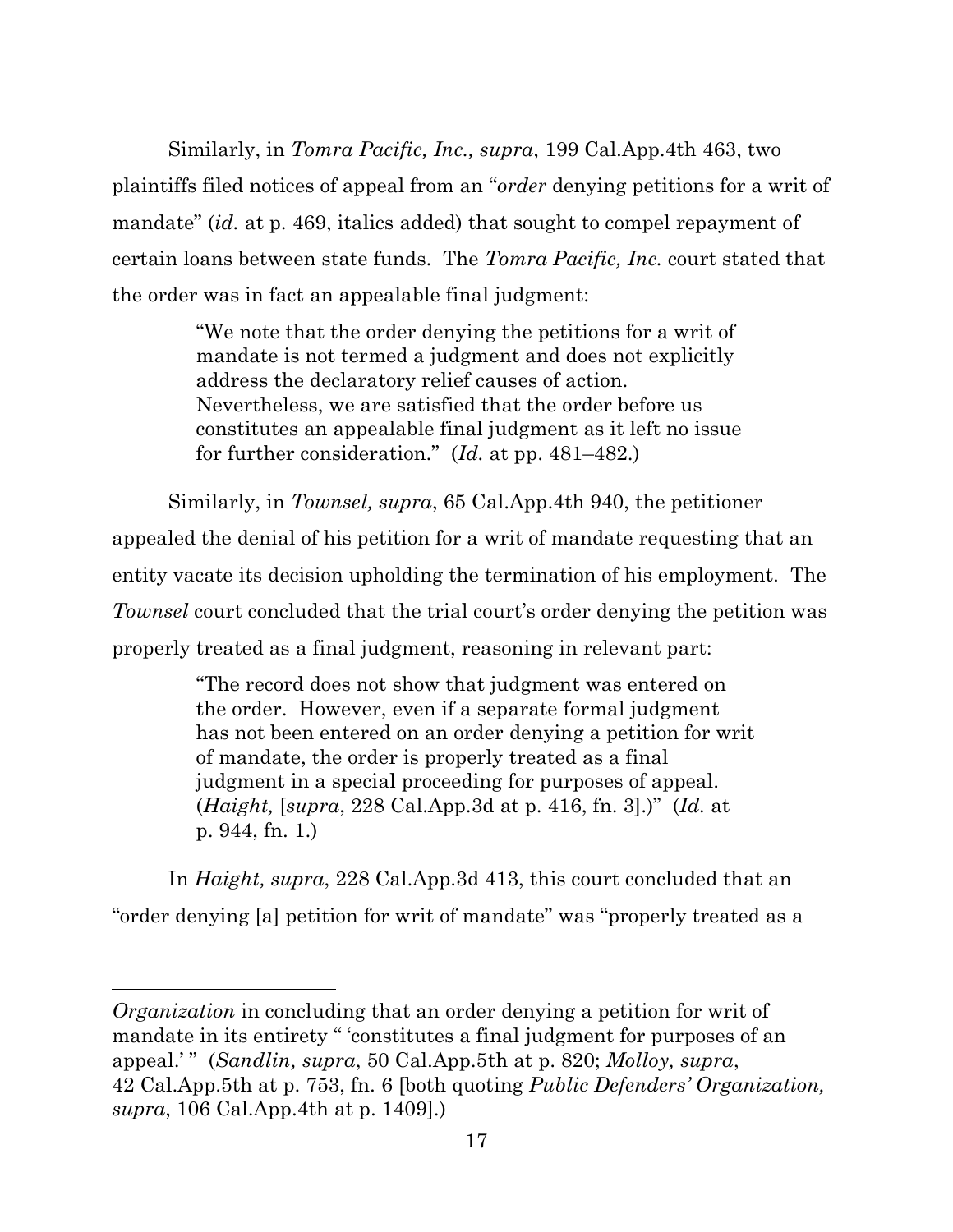Similarly, in *Tomra Pacific, Inc., supra*, 199 Cal.App.4th 463, two plaintiffs filed notices of appeal from an "*order* denying petitions for a writ of mandate" *(id.* at p. 469, italics added) that sought to compel repayment of certain loans between state funds. The *Tomra Pacific, Inc.* court stated that the order was in fact an appealable final judgment:

> "We note that the order denying the petitions for a writ of mandate is not termed a judgment and does not explicitly address the declaratory relief causes of action. Nevertheless, we are satisfied that the order before us constitutes an appealable final judgment as it left no issue for further consideration." (*Id.* at pp. 481–482.)

Similarly, in *Townsel, supra*, 65 Cal.App.4th 940, the petitioner appealed the denial of his petition for a writ of mandate requesting that an entity vacate its decision upholding the termination of his employment. The *Townsel* court concluded that the trial court's order denying the petition was properly treated as a final judgment, reasoning in relevant part:

> "The record does not show that judgment was entered on the order. However, even if a separate formal judgment has not been entered on an order denying a petition for writ of mandate, the order is properly treated as a final judgment in a special proceeding for purposes of appeal. (*Haight,* [*supra*, 228 Cal.App.3d at p. 416, fn. 3].)" (*Id.* at p. 944, fn. 1.)

In *Haight, supra*, 228 Cal.App.3d 413, this court concluded that an "order denying [a] petition for writ of mandate" was "properly treated as a

*Organization* in concluding that an order denying a petition for writ of mandate in its entirety " 'constitutes a final judgment for purposes of an appeal.' " (*Sandlin, supra*, 50 Cal.App.5th at p. 820; *Molloy, supra*, 42 Cal.App.5th at p. 753, fn. 6 [both quoting *Public Defenders' Organization, supra*, 106 Cal.App.4th at p. 1409].)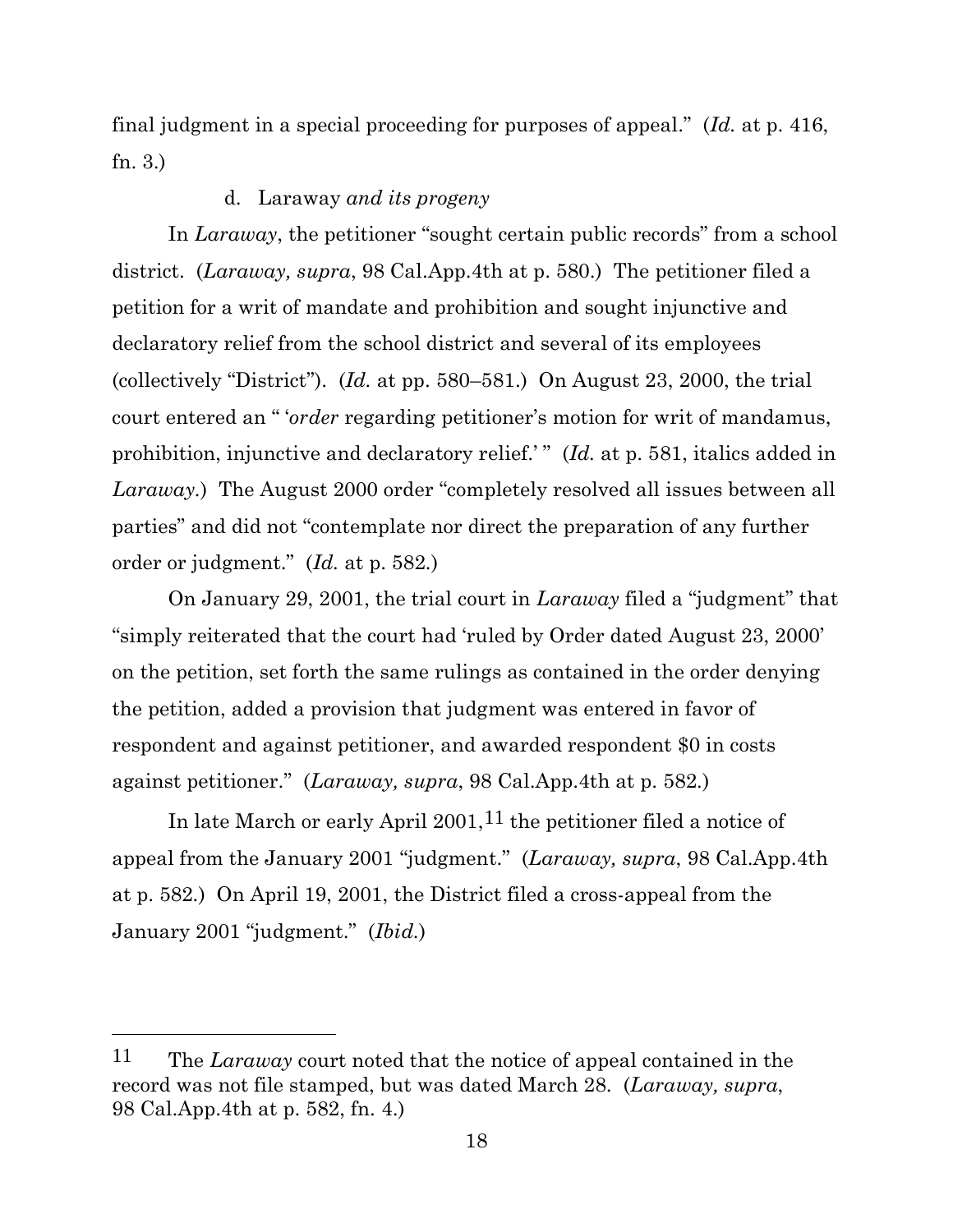final judgment in a special proceeding for purposes of appeal." (*Id.* at p. 416, fn. 3.)

## d. Laraway *and its progeny*

In *Laraway*, the petitioner "sought certain public records" from a school district. (*Laraway, supra*, 98 Cal.App.4th at p. 580.) The petitioner filed a petition for a writ of mandate and prohibition and sought injunctive and declaratory relief from the school district and several of its employees (collectively "District"). (*Id.* at pp. 580–581.) On August 23, 2000, the trial court entered an " '*order* regarding petitioner's motion for writ of mandamus, prohibition, injunctive and declaratory relief.'" (*Id.* at p. 581, italics added in *Laraway.*) The August 2000 order "completely resolved all issues between all parties" and did not "contemplate nor direct the preparation of any further order or judgment." (*Id.* at p. 582*.*)

On January 29, 2001, the trial court in *Laraway* filed a "judgment" that "simply reiterated that the court had 'ruled by Order dated August 23, 2000' on the petition, set forth the same rulings as contained in the order denying the petition, added a provision that judgment was entered in favor of respondent and against petitioner, and awarded respondent \$0 in costs against petitioner." (*Laraway, supra*, 98 Cal.App.4th at p. 582*.*)

In late March or early April 2001, <sup>11</sup> the petitioner filed a notice of appeal from the January 2001 "judgment." (*Laraway, supra*, 98 Cal.App.4th at p. 582*.*) On April 19, 2001, the District filed a cross-appeal from the January 2001 "judgment." (*Ibid.*)

<sup>11</sup> The *Laraway* court noted that the notice of appeal contained in the record was not file stamped, but was dated March 28. (*Laraway, supra*, 98 Cal.App.4th at p. 582, fn. 4.)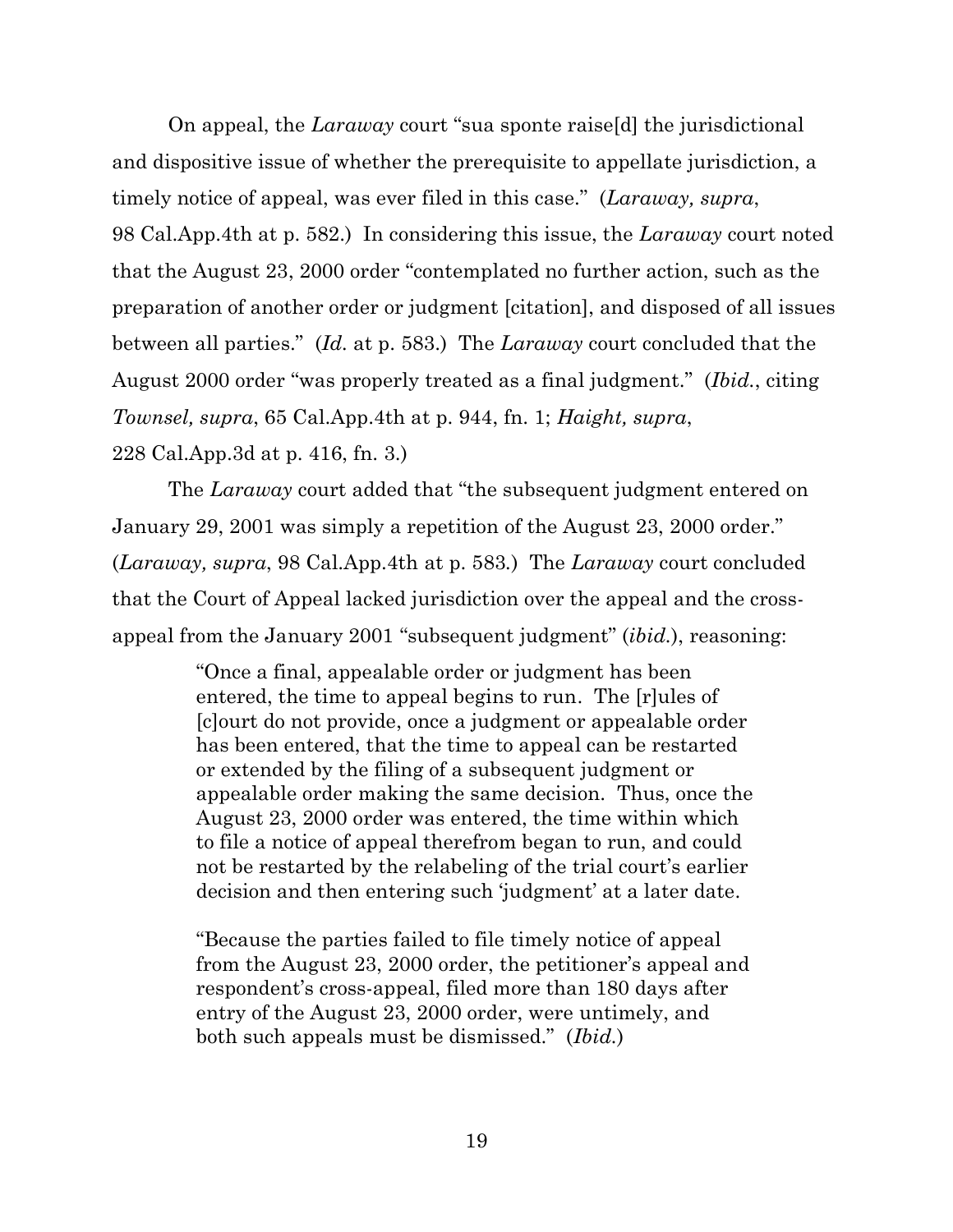On appeal, the *Laraway* court "sua sponte raise[d] the jurisdictional and dispositive issue of whether the prerequisite to appellate jurisdiction, a timely notice of appeal, was ever filed in this case." (*Laraway, supra*, 98 Cal.App.4th at p. 582.) In considering this issue, the *Laraway* court noted that the August 23, 2000 order "contemplated no further action, such as the preparation of another order or judgment [citation], and disposed of all issues between all parties." (*Id.* at p. 583.) The *Laraway* court concluded that the August 2000 order "was properly treated as a final judgment." (*Ibid.*, citing *Townsel, supra*, 65 Cal.App.4th at p. 944, fn. 1; *Haight, supra*, 228 Cal.App.3d at p. 416, fn. 3.)

The *Laraway* court added that "the subsequent judgment entered on January 29, 2001 was simply a repetition of the August 23, 2000 order." (*Laraway, supra*, 98 Cal.App.4th at p. 583*.*) The *Laraway* court concluded that the Court of Appeal lacked jurisdiction over the appeal and the crossappeal from the January 2001 "subsequent judgment" (*ibid.*), reasoning:

> "Once a final, appealable order or judgment has been entered, the time to appeal begins to run. The [r]ules of [c]ourt do not provide, once a judgment or appealable order has been entered, that the time to appeal can be restarted or extended by the filing of a subsequent judgment or appealable order making the same decision. Thus, once the August 23, 2000 order was entered, the time within which to file a notice of appeal therefrom began to run, and could not be restarted by the relabeling of the trial court's earlier decision and then entering such 'judgment' at a later date.

> "Because the parties failed to file timely notice of appeal from the August 23, 2000 order, the petitioner's appeal and respondent's cross-appeal, filed more than 180 days after entry of the August 23, 2000 order, were untimely, and both such appeals must be dismissed." (*Ibid.*)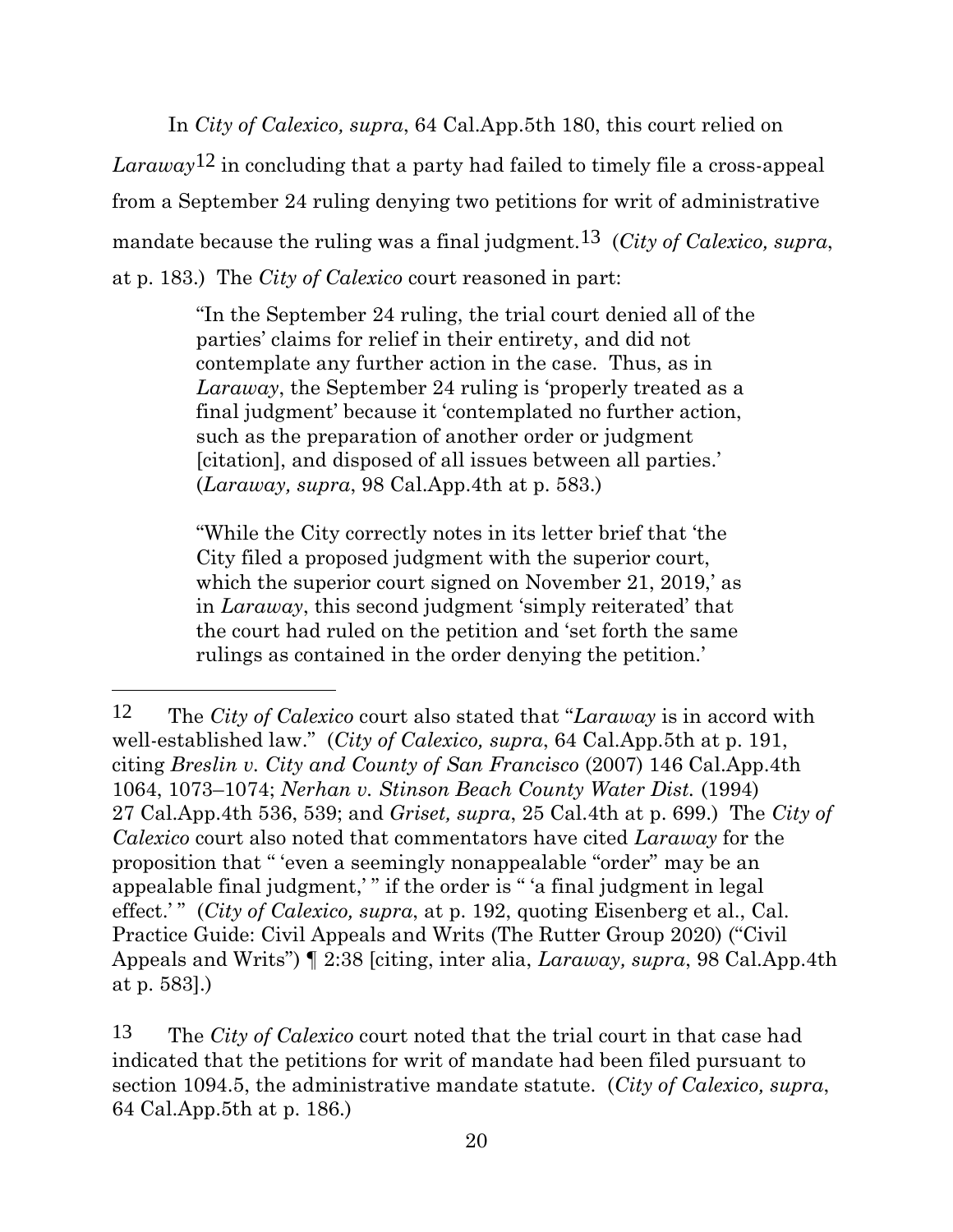In *City of Calexico, supra*, 64 Cal.App.5th 180, this court relied on *Laraway*12 in concluding that a party had failed to timely file a cross-appeal from a September 24 ruling denying two petitions for writ of administrative mandate because the ruling was a final judgment.13 (*City of Calexico, supra*, at p. 183.) The *City of Calexico* court reasoned in part:

> "In the September 24 ruling, the trial court denied all of the parties' claims for relief in their entirety, and did not contemplate any further action in the case. Thus, as in *Laraway*, the September 24 ruling is 'properly treated as a final judgment' because it 'contemplated no further action, such as the preparation of another order or judgment [citation], and disposed of all issues between all parties.' (*Laraway, supra*, 98 Cal.App.4th at p. 583.)

"While the City correctly notes in its letter brief that 'the City filed a proposed judgment with the superior court, which the superior court signed on November 21, 2019,' as in *Laraway*, this second judgment 'simply reiterated' that the court had ruled on the petition and 'set forth the same rulings as contained in the order denying the petition.'

<sup>12</sup> The *City of Calexico* court also stated that "*Laraway* is in accord with well-established law." (*City of Calexico, supra*, 64 Cal.App.5th at p. 191, citing *Breslin v. City and County of San Francisco* (2007) 146 Cal.App.4th 1064, 1073–1074; *Nerhan v. Stinson Beach County Water Dist.* (1994) 27 Cal.App.4th 536, 539; and *Griset, supra*, 25 Cal.4th at p. 699.) The *City of Calexico* court also noted that commentators have cited *Laraway* for the proposition that " 'even a seemingly nonappealable "order" may be an appealable final judgment,' " if the order is " 'a final judgment in legal effect.'" (*City of Calexico, supra*, at p. 192, quoting Eisenberg et al., Cal. Practice Guide: Civil Appeals and Writs (The Rutter Group 2020) ("Civil Appeals and Writs") ¶ 2:38 [citing, inter alia, *Laraway, supra*, 98 Cal.App.4th at p. 583].)

<sup>13</sup> The *City of Calexico* court noted that the trial court in that case had indicated that the petitions for writ of mandate had been filed pursuant to section 1094.5, the administrative mandate statute. (*City of Calexico, supra*, 64 Cal.App.5th at p. 186.)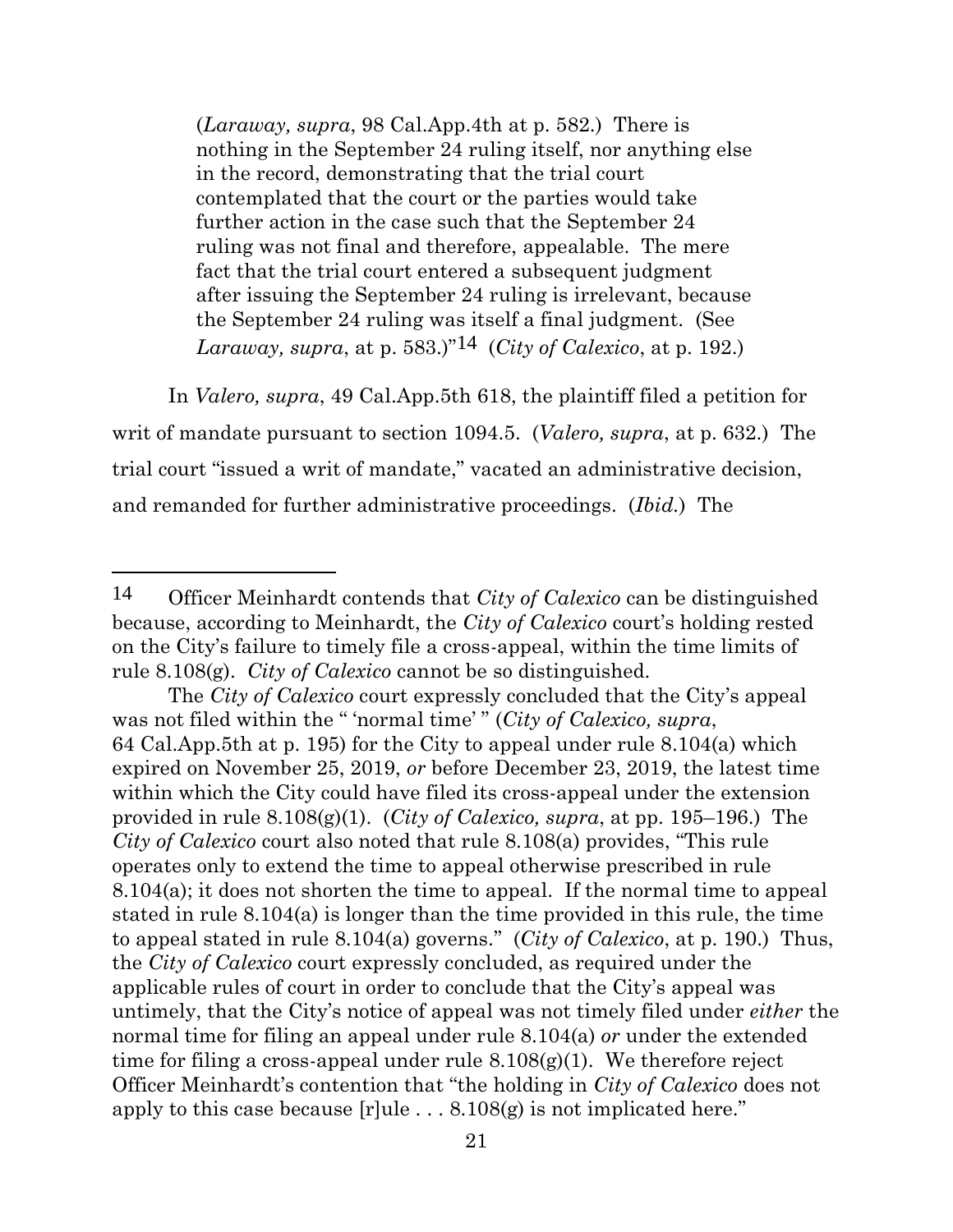(*Laraway, supra*, 98 Cal.App.4th at p. 582.) There is nothing in the September 24 ruling itself, nor anything else in the record, demonstrating that the trial court contemplated that the court or the parties would take further action in the case such that the September 24 ruling was not final and therefore, appealable. The mere fact that the trial court entered a subsequent judgment after issuing the September 24 ruling is irrelevant, because the September 24 ruling was itself a final judgment. (See *Laraway, supra, at p.* 583.)<sup>"14</sup> (*City of Calexico, at p.* 192.)

In *Valero, supra*, 49 Cal.App.5th 618, the plaintiff filed a petition for writ of mandate pursuant to section 1094.5. (*Valero, supra*, at p. 632.) The trial court "issued a writ of mandate," vacated an administrative decision, and remanded for further administrative proceedings. (*Ibid.*) The

<sup>14</sup> Officer Meinhardt contends that *City of Calexico* can be distinguished because, according to Meinhardt, the *City of Calexico* court's holding rested on the City's failure to timely file a cross-appeal, within the time limits of rule 8.108(g). *City of Calexico* cannot be so distinguished.

The *City of Calexico* court expressly concluded that the City's appeal was not filed within the " 'normal time' " (*City of Calexico, supra*, 64 Cal.App.5th at p. 195) for the City to appeal under rule 8.104(a) which expired on November 25, 2019, *or* before December 23, 2019, the latest time within which the City could have filed its cross-appeal under the extension provided in rule 8.108(g)(1). (*City of Calexico, supra*, at pp. 195–196.) The *City of Calexico* court also noted that rule 8.108(a) provides, "This rule operates only to extend the time to appeal otherwise prescribed in rule 8.104(a); it does not shorten the time to appeal. If the normal time to appeal stated in rule 8.104(a) is longer than the time provided in this rule, the time to appeal stated in rule 8.104(a) governs." (*City of Calexico*, at p. 190.) Thus, the *City of Calexico* court expressly concluded, as required under the applicable rules of court in order to conclude that the City's appeal was untimely, that the City's notice of appeal was not timely filed under *either* the normal time for filing an appeal under rule 8.104(a) *or* under the extended time for filing a cross-appeal under rule  $8.108(g)(1)$ . We therefore reject Officer Meinhardt's contention that "the holding in *City of Calexico* does not apply to this case because [r]ule . . . 8.108(g) is not implicated here."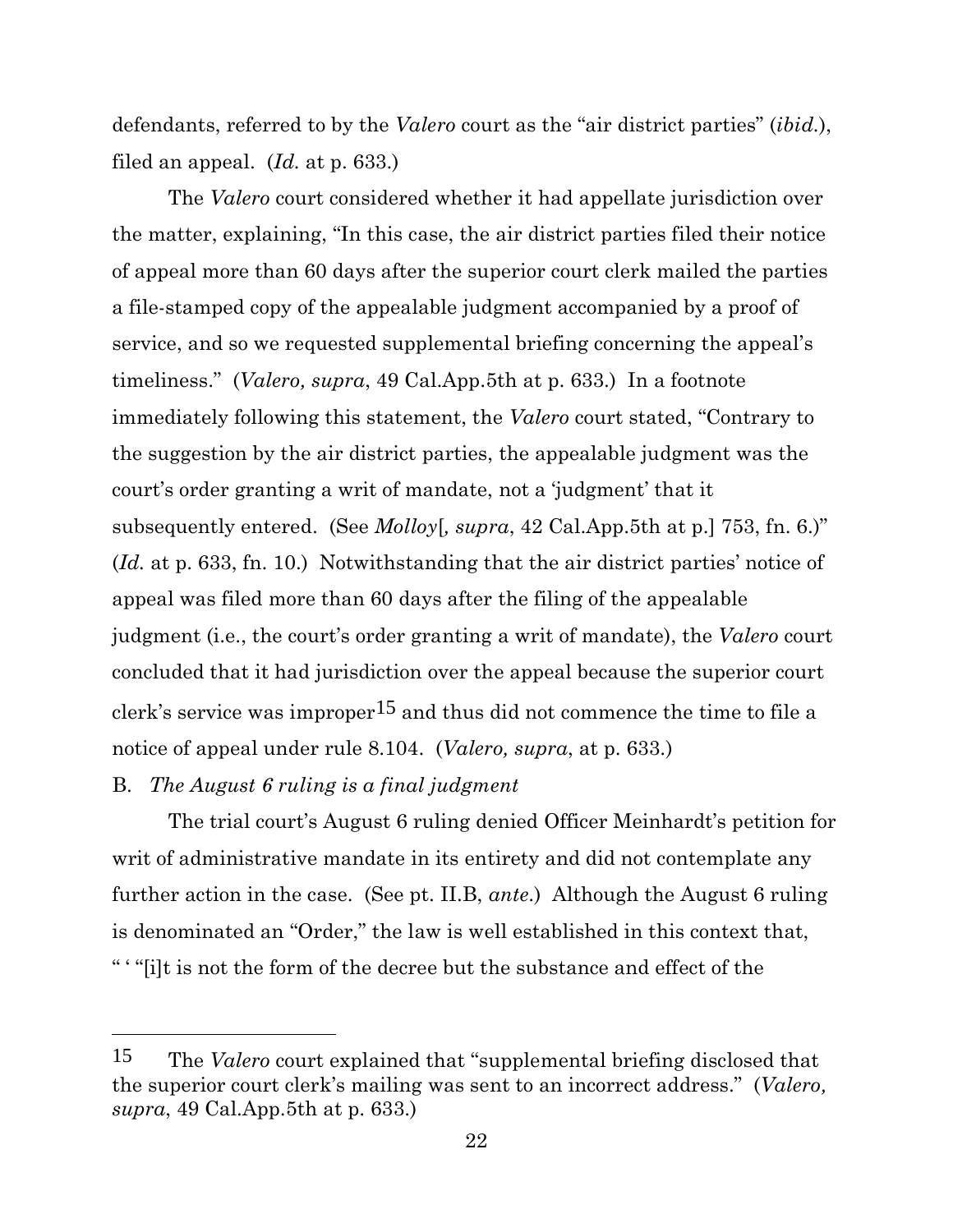defendants, referred to by the *Valero* court as the "air district parties" (*ibid.*), filed an appeal. (*Id.* at p. 633.)

The *Valero* court considered whether it had appellate jurisdiction over the matter, explaining, "In this case, the air district parties filed their notice of appeal more than 60 days after the superior court clerk mailed the parties a file-stamped copy of the appealable judgment accompanied by a proof of service, and so we requested supplemental briefing concerning the appeal's timeliness." (*Valero, supra*, 49 Cal.App.5th at p. 633.) In a footnote immediately following this statement, the *Valero* court stated, "Contrary to the suggestion by the air district parties, the appealable judgment was the court's order granting a writ of mandate, not a 'judgment' that it subsequently entered. (See *Molloy*[*, supra*, 42 Cal.App.5th at p.] 753, fn. 6.)" (*Id.* at p. 633, fn. 10.) Notwithstanding that the air district parties' notice of appeal was filed more than 60 days after the filing of the appealable judgment (i.e., the court's order granting a writ of mandate), the *Valero* court concluded that it had jurisdiction over the appeal because the superior court clerk's service was improper15 and thus did not commence the time to file a notice of appeal under rule 8.104. (*Valero, supra*, at p. 633.)

#### B. *The August 6 ruling is a final judgment*

The trial court's August 6 ruling denied Officer Meinhardt's petition for writ of administrative mandate in its entirety and did not contemplate any further action in the case. (See pt. II.B, *ante*.) Although the August 6 ruling is denominated an "Order," the law is well established in this context that, " ' "[i]t is not the form of the decree but the substance and effect of the

<sup>15</sup> The *Valero* court explained that "supplemental briefing disclosed that the superior court clerk's mailing was sent to an incorrect address." (*Valero, supra*, 49 Cal.App.5th at p. 633.)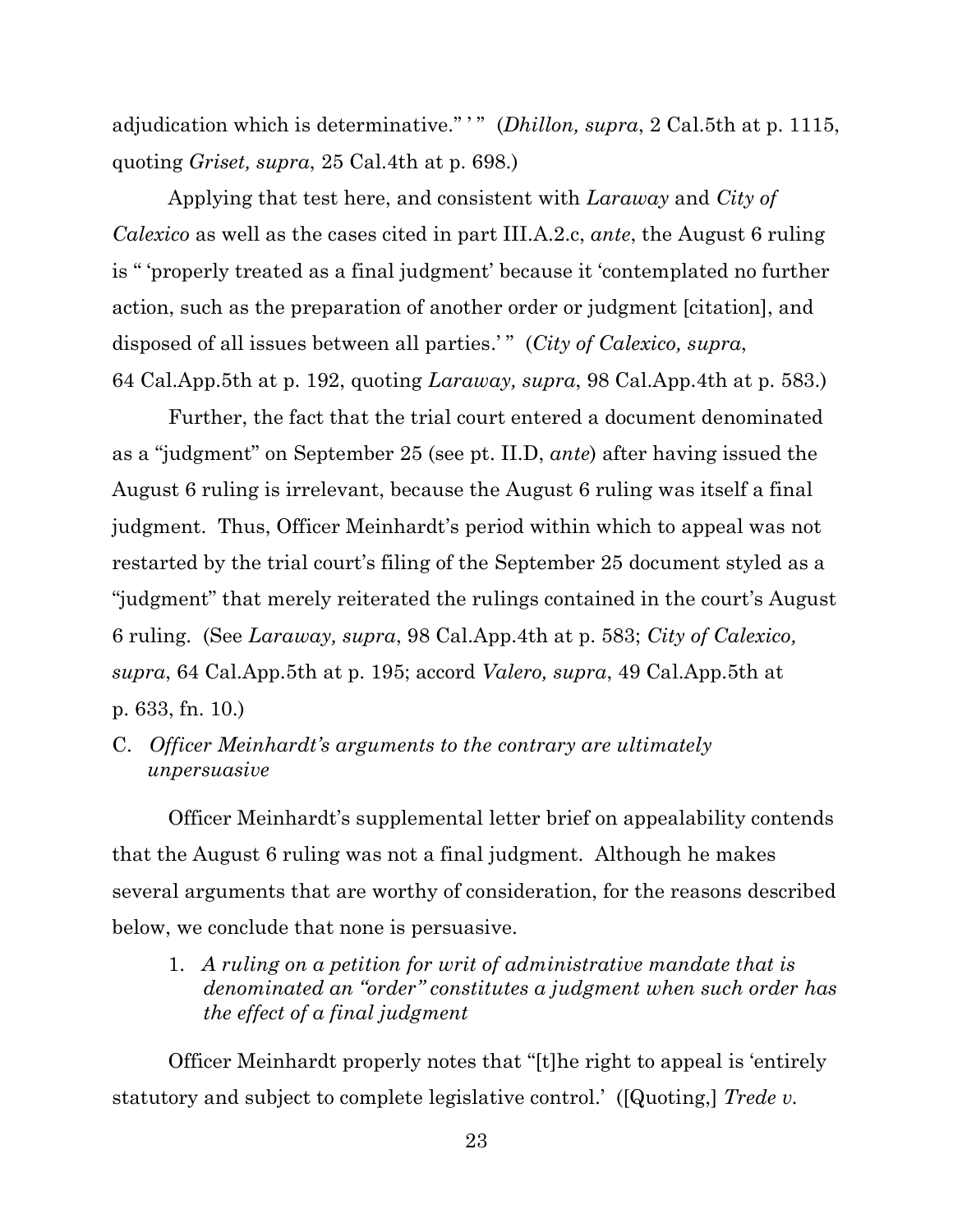adjudication which is determinative." ' " (*Dhillon, supra*, 2 Cal.5th at p. 1115, quoting *Griset, supra*, 25 Cal.4th at p. 698.)

Applying that test here, and consistent with *Laraway* and *City of Calexico* as well as the cases cited in part III.A.2.c, *ante*, the August 6 ruling is " 'properly treated as a final judgment' because it 'contemplated no further action, such as the preparation of another order or judgment [citation], and disposed of all issues between all parties.'" (*City of Calexico, supra*, 64 Cal.App.5th at p. 192, quoting *Laraway, supra*, 98 Cal.App.4th at p. 583.)

Further, the fact that the trial court entered a document denominated as a "judgment" on September 25 (see pt. II.D, *ante*) after having issued the August 6 ruling is irrelevant, because the August 6 ruling was itself a final judgment. Thus, Officer Meinhardt's period within which to appeal was not restarted by the trial court's filing of the September 25 document styled as a "judgment" that merely reiterated the rulings contained in the court's August 6 ruling. (See *Laraway, supra*, 98 Cal.App.4th at p. 583; *City of Calexico, supra*, 64 Cal.App.5th at p. 195; accord *Valero, supra*, 49 Cal.App.5th at p. 633, fn. 10.)

C. *Officer Meinhardt's arguments to the contrary are ultimately unpersuasive*

Officer Meinhardt's supplemental letter brief on appealability contends that the August 6 ruling was not a final judgment. Although he makes several arguments that are worthy of consideration, for the reasons described below, we conclude that none is persuasive.

1. *A ruling on a petition for writ of administrative mandate that is denominated an "order" constitutes a judgment when such order has the effect of a final judgment*

Officer Meinhardt properly notes that "[t]he right to appeal is 'entirely statutory and subject to complete legislative control.' ([Quoting,] *Trede v.*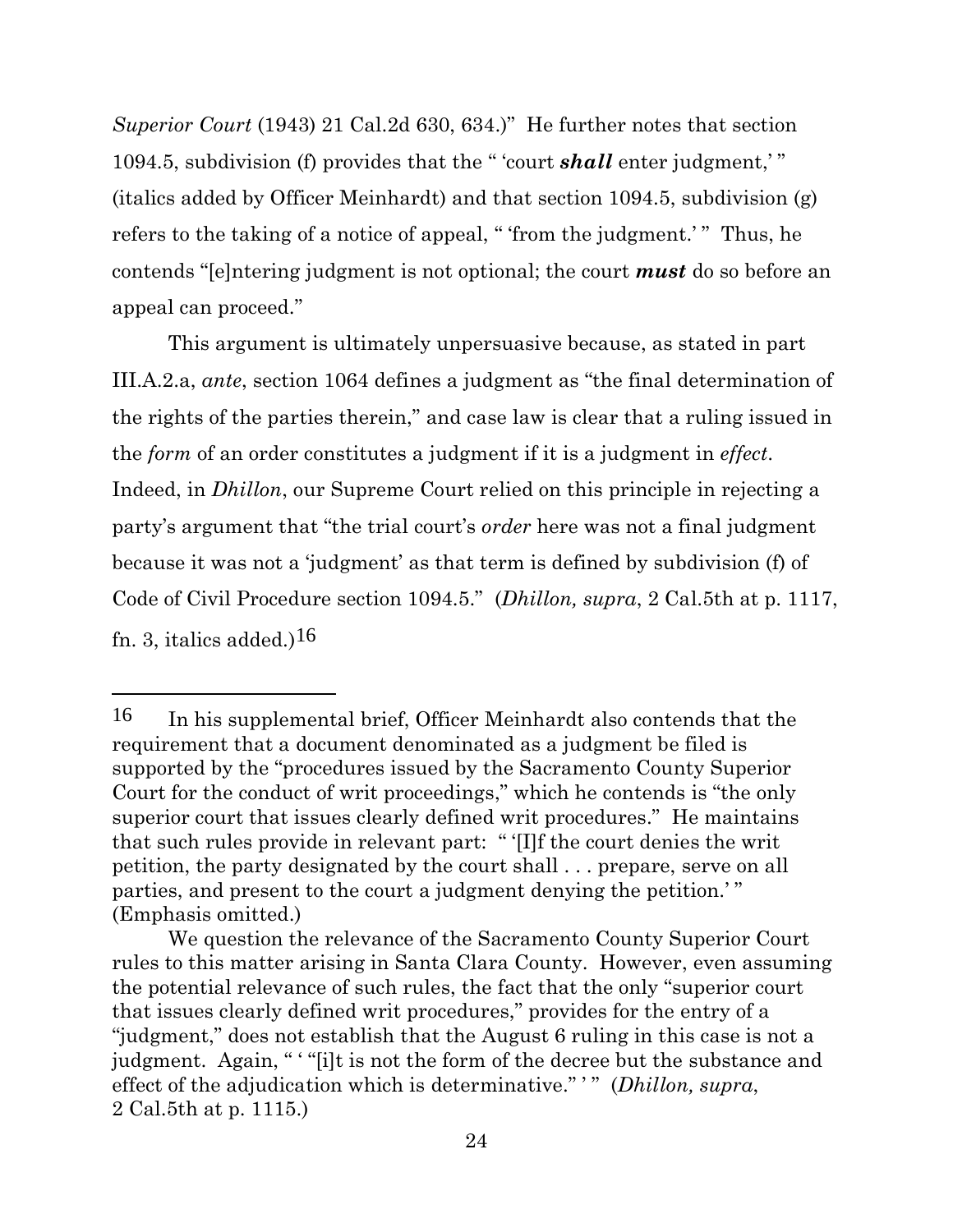*Superior Court* (1943) 21 Cal.2d 630, 634.)" He further notes that section 1094.5, subdivision (f) provides that the " 'court *shall* enter judgment,' " (italics added by Officer Meinhardt) and that section 1094.5, subdivision (g) refers to the taking of a notice of appeal, " 'from the judgment.' " Thus, he contends "[e]ntering judgment is not optional; the court *must* do so before an appeal can proceed."

This argument is ultimately unpersuasive because, as stated in part III.A.2.a, *ante*, section 1064 defines a judgment as "the final determination of the rights of the parties therein," and case law is clear that a ruling issued in the *form* of an order constitutes a judgment if it is a judgment in *effect*. Indeed, in *Dhillon*, our Supreme Court relied on this principle in rejecting a party's argument that "the trial court's *order* here was not a final judgment because it was not a 'judgment' as that term is defined by subdivision (f) of Code of Civil Procedure section 1094.5." (*Dhillon, supra*, 2 Cal.5th at p. 1117, fn. 3, italics added.)<sup>16</sup>

<sup>16</sup> In his supplemental brief, Officer Meinhardt also contends that the requirement that a document denominated as a judgment be filed is supported by the "procedures issued by the Sacramento County Superior Court for the conduct of writ proceedings," which he contends is "the only superior court that issues clearly defined writ procedures." He maintains that such rules provide in relevant part: " '[I]f the court denies the writ petition, the party designated by the court shall . . . prepare, serve on all parties, and present to the court a judgment denying the petition.' " (Emphasis omitted.)

We question the relevance of the Sacramento County Superior Court rules to this matter arising in Santa Clara County. However, even assuming the potential relevance of such rules, the fact that the only "superior court that issues clearly defined writ procedures," provides for the entry of a "judgment," does not establish that the August 6 ruling in this case is not a judgment. Again, " "[i]t is not the form of the decree but the substance and effect of the adjudication which is determinative." ' " (*Dhillon, supra*, 2 Cal.5th at p. 1115.)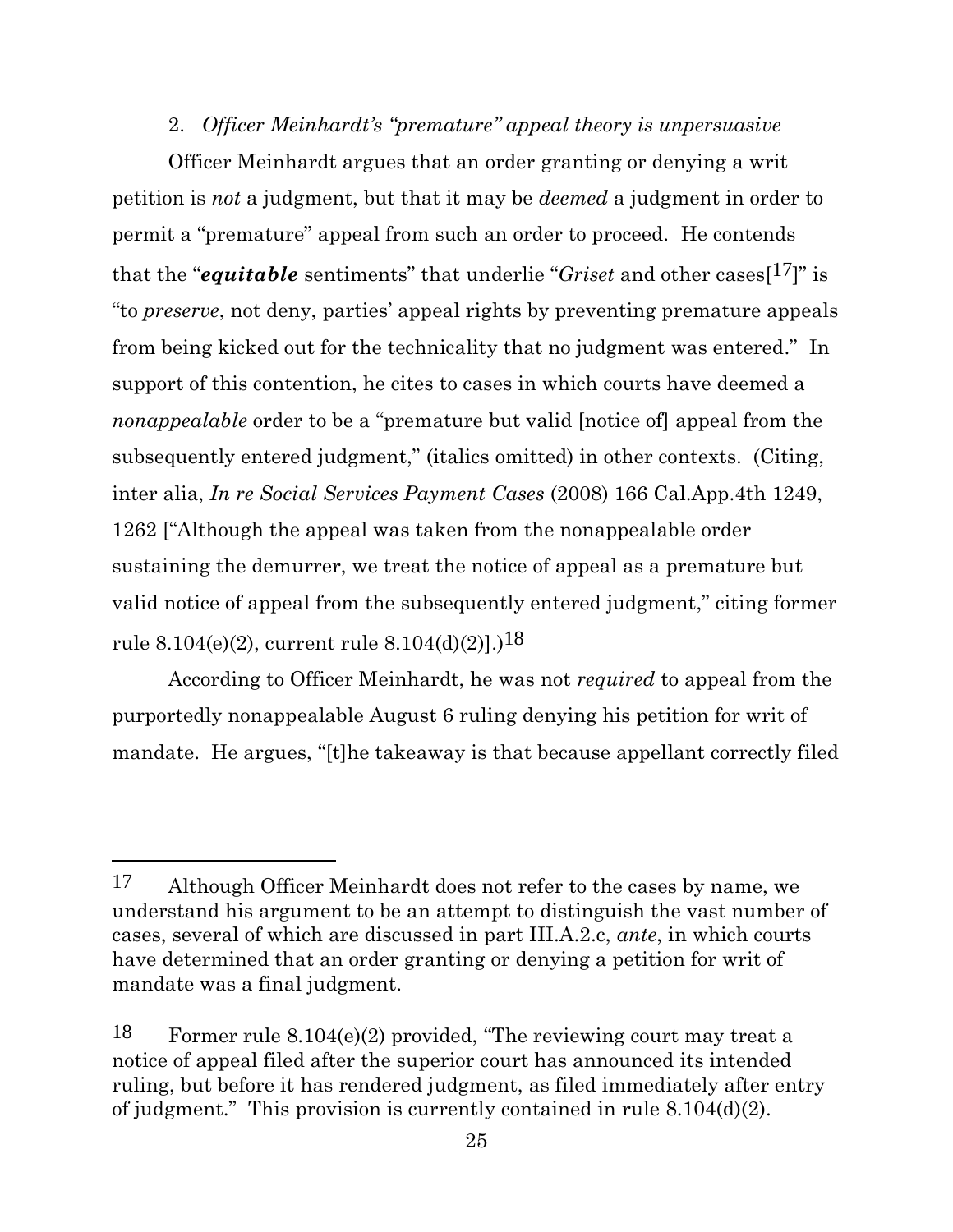#### 2. *Officer Meinhardt's "premature" appeal theory is unpersuasive*

Officer Meinhardt argues that an order granting or denying a writ petition is *not* a judgment, but that it may be *deemed* a judgment in order to permit a "premature" appeal from such an order to proceed. He contends that the "*equitable* sentiments" that underlie "*Griset* and other cases[17]" is "to *preserve*, not deny, parties' appeal rights by preventing premature appeals from being kicked out for the technicality that no judgment was entered." In support of this contention, he cites to cases in which courts have deemed a *nonappealable* order to be a "premature but valid [notice of] appeal from the subsequently entered judgment," (italics omitted) in other contexts. (Citing, inter alia, *In re Social Services Payment Cases* (2008) 166 Cal.App.4th 1249, 1262 ["Although the appeal was taken from the nonappealable order sustaining the demurrer, we treat the notice of appeal as a premature but valid notice of appeal from the subsequently entered judgment," citing former rule 8.104(e)(2), current rule 8.104(d)(2)].)<sup>18</sup>

According to Officer Meinhardt, he was not *required* to appeal from the purportedly nonappealable August 6 ruling denying his petition for writ of mandate. He argues, "[t]he takeaway is that because appellant correctly filed

<sup>17</sup> Although Officer Meinhardt does not refer to the cases by name, we understand his argument to be an attempt to distinguish the vast number of cases, several of which are discussed in part III.A.2.c, *ante*, in which courts have determined that an order granting or denying a petition for writ of mandate was a final judgment.

<sup>18</sup> Former rule 8.104(e)(2) provided, "The reviewing court may treat a notice of appeal filed after the superior court has announced its intended ruling, but before it has rendered judgment, as filed immediately after entry of judgment." This provision is currently contained in rule 8.104(d)(2).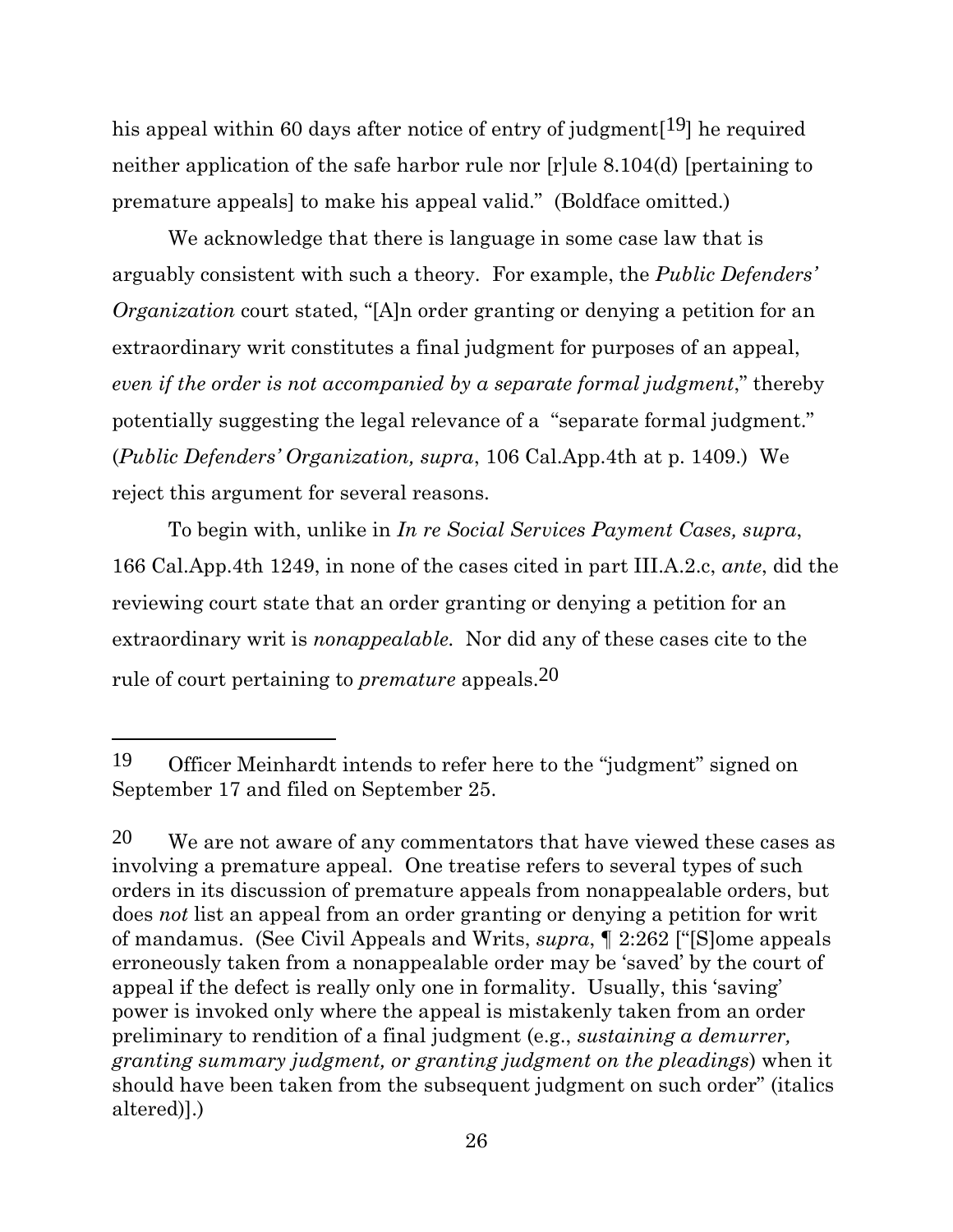his appeal within 60 days after notice of entry of judgment<sup>[19]</sup> he required neither application of the safe harbor rule nor [r]ule 8.104(d) [pertaining to premature appeals] to make his appeal valid." (Boldface omitted.)

We acknowledge that there is language in some case law that is arguably consistent with such a theory. For example, the *Public Defenders' Organization* court stated, "[A]n order granting or denying a petition for an extraordinary writ constitutes a final judgment for purposes of an appeal, *even if the order is not accompanied by a separate formal judgment*," thereby potentially suggesting the legal relevance of a "separate formal judgment." (*Public Defenders' Organization, supra*, 106 Cal.App.4th at p. 1409.) We reject this argument for several reasons.

To begin with, unlike in *In re Social Services Payment Cases, supra*, 166 Cal.App.4th 1249, in none of the cases cited in part III.A.2.c, *ante*, did the reviewing court state that an order granting or denying a petition for an extraordinary writ is *nonappealable.* Nor did any of these cases cite to the rule of court pertaining to *premature* appeals.20

<sup>19</sup> Officer Meinhardt intends to refer here to the "judgment" signed on September 17 and filed on September 25.

 $20$  We are not aware of any commentators that have viewed these cases as involving a premature appeal. One treatise refers to several types of such orders in its discussion of premature appeals from nonappealable orders, but does *not* list an appeal from an order granting or denying a petition for writ of mandamus. (See Civil Appeals and Writs, *supra*, ¶ 2:262 ["[S]ome appeals erroneously taken from a nonappealable order may be 'saved' by the court of appeal if the defect is really only one in formality. Usually, this 'saving' power is invoked only where the appeal is mistakenly taken from an order preliminary to rendition of a final judgment (e.g., *sustaining a demurrer, granting summary judgment, or granting judgment on the pleadings*) when it should have been taken from the subsequent judgment on such order" (italics altered)].)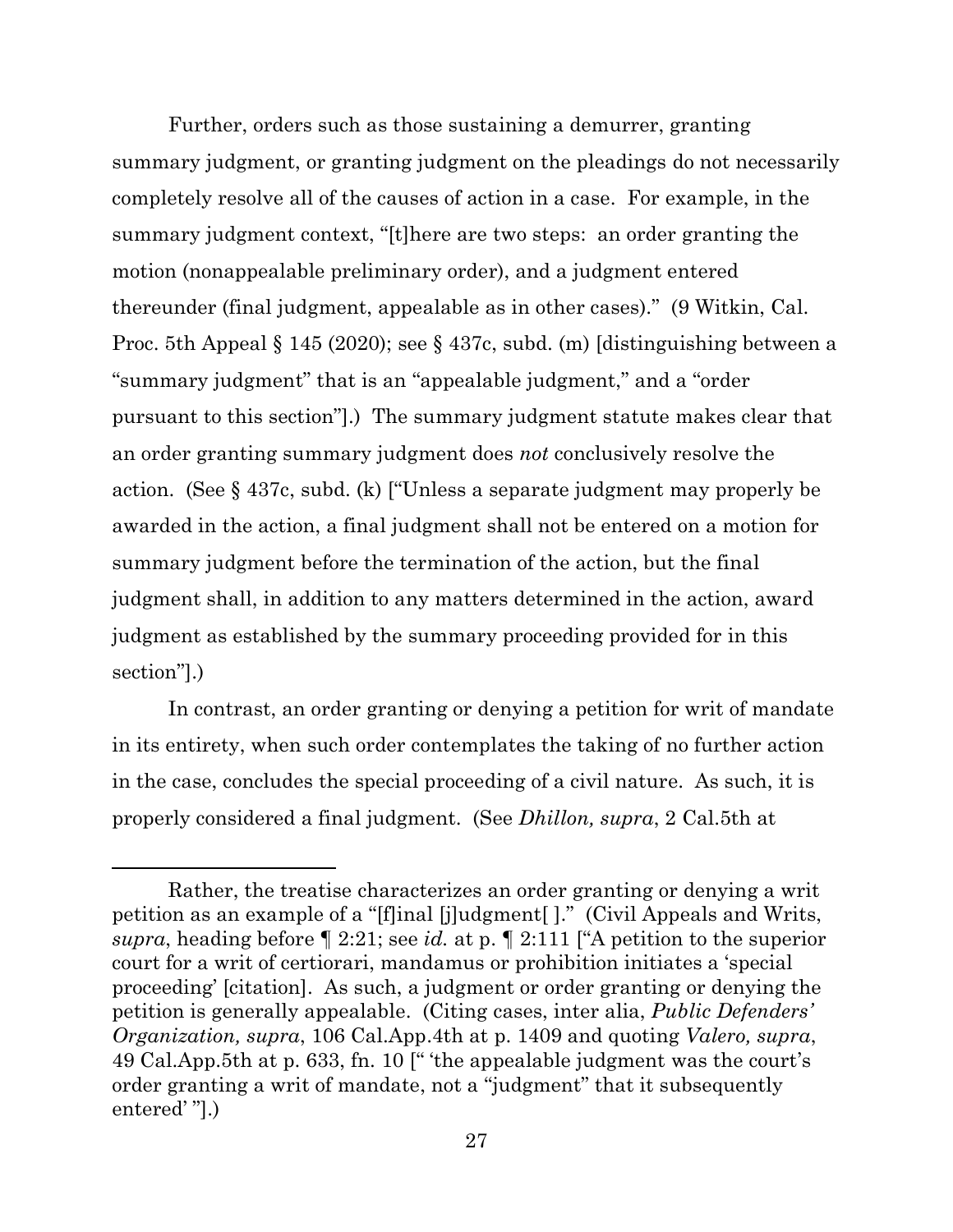Further, orders such as those sustaining a demurrer, granting summary judgment, or granting judgment on the pleadings do not necessarily completely resolve all of the causes of action in a case. For example, in the summary judgment context, "[t]here are two steps: an order granting the motion (nonappealable preliminary order), and a judgment entered thereunder (final judgment, appealable as in other cases)." (9 Witkin, Cal. Proc. 5th Appeal § 145 (2020); see § 437c, subd. (m) [distinguishing between a "summary judgment" that is an "appealable judgment," and a "order pursuant to this section"].) The summary judgment statute makes clear that an order granting summary judgment does *not* conclusively resolve the action. (See § 437c, subd. (k) ["Unless a separate judgment may properly be awarded in the action, a final judgment shall not be entered on a motion for summary judgment before the termination of the action, but the final judgment shall, in addition to any matters determined in the action, award judgment as established by the summary proceeding provided for in this section"].)

In contrast, an order granting or denying a petition for writ of mandate in its entirety, when such order contemplates the taking of no further action in the case, concludes the special proceeding of a civil nature. As such, it is properly considered a final judgment. (See *Dhillon, supra*, 2 Cal.5th at

Rather, the treatise characterizes an order granting or denying a writ petition as an example of a "[f]inal [j]udgment[ ]." (Civil Appeals and Writs, *supra*, heading before ¶ 2:21; see *id.* at p. ¶ 2:111 ["A petition to the superior court for a writ of certiorari, mandamus or prohibition initiates a 'special proceeding' [citation]. As such, a judgment or order granting or denying the petition is generally appealable. (Citing cases, inter alia, *Public Defenders' Organization, supra*, 106 Cal.App.4th at p. 1409 and quoting *Valero, supra*, 49 Cal.App.5th at p. 633, fn. 10 [" 'the appealable judgment was the court's order granting a writ of mandate, not a "judgment" that it subsequently entered' "].)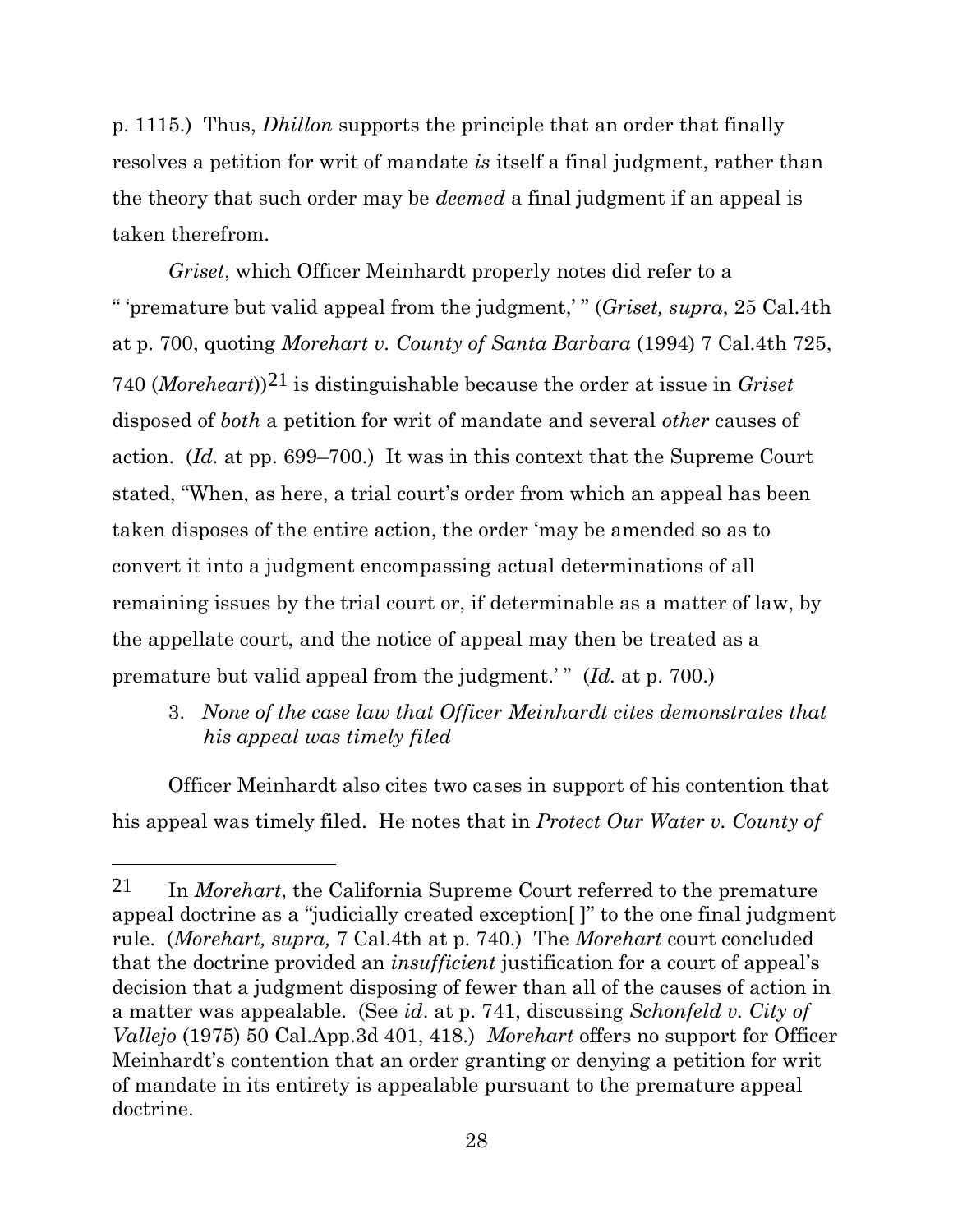p. 1115.) Thus, *Dhillon* supports the principle that an order that finally resolves a petition for writ of mandate *is* itself a final judgment, rather than the theory that such order may be *deemed* a final judgment if an appeal is taken therefrom.

*Griset*, which Officer Meinhardt properly notes did refer to a " 'premature but valid appeal from the judgment,' " (*Griset, supra*, 25 Cal.4th at p. 700, quoting *Morehart v. County of Santa Barbara* (1994) 7 Cal.4th 725, 740 (*Moreheart*))21 is distinguishable because the order at issue in *Griset* disposed of *both* a petition for writ of mandate and several *other* causes of action. (*Id.* at pp. 699–700.) It was in this context that the Supreme Court stated, "When, as here, a trial court's order from which an appeal has been taken disposes of the entire action, the order 'may be amended so as to convert it into a judgment encompassing actual determinations of all remaining issues by the trial court or, if determinable as a matter of law, by the appellate court, and the notice of appeal may then be treated as a premature but valid appeal from the judgment.'" (*Id.* at p. 700.)

3. *None of the case law that Officer Meinhardt cites demonstrates that his appeal was timely filed*

Officer Meinhardt also cites two cases in support of his contention that his appeal was timely filed. He notes that in *Protect Our Water v. County of* 

<sup>21</sup> In *Morehart*, the California Supreme Court referred to the premature appeal doctrine as a "judicially created exception[ ]" to the one final judgment rule. (*Morehart, supra,* 7 Cal.4th at p. 740.) The *Morehart* court concluded that the doctrine provided an *insufficient* justification for a court of appeal's decision that a judgment disposing of fewer than all of the causes of action in a matter was appealable. (See *id*. at p. 741, discussing *Schonfeld v. City of Vallejo* (1975) 50 Cal.App.3d 401, 418.) *Morehart* offers no support for Officer Meinhardt's contention that an order granting or denying a petition for writ of mandate in its entirety is appealable pursuant to the premature appeal doctrine.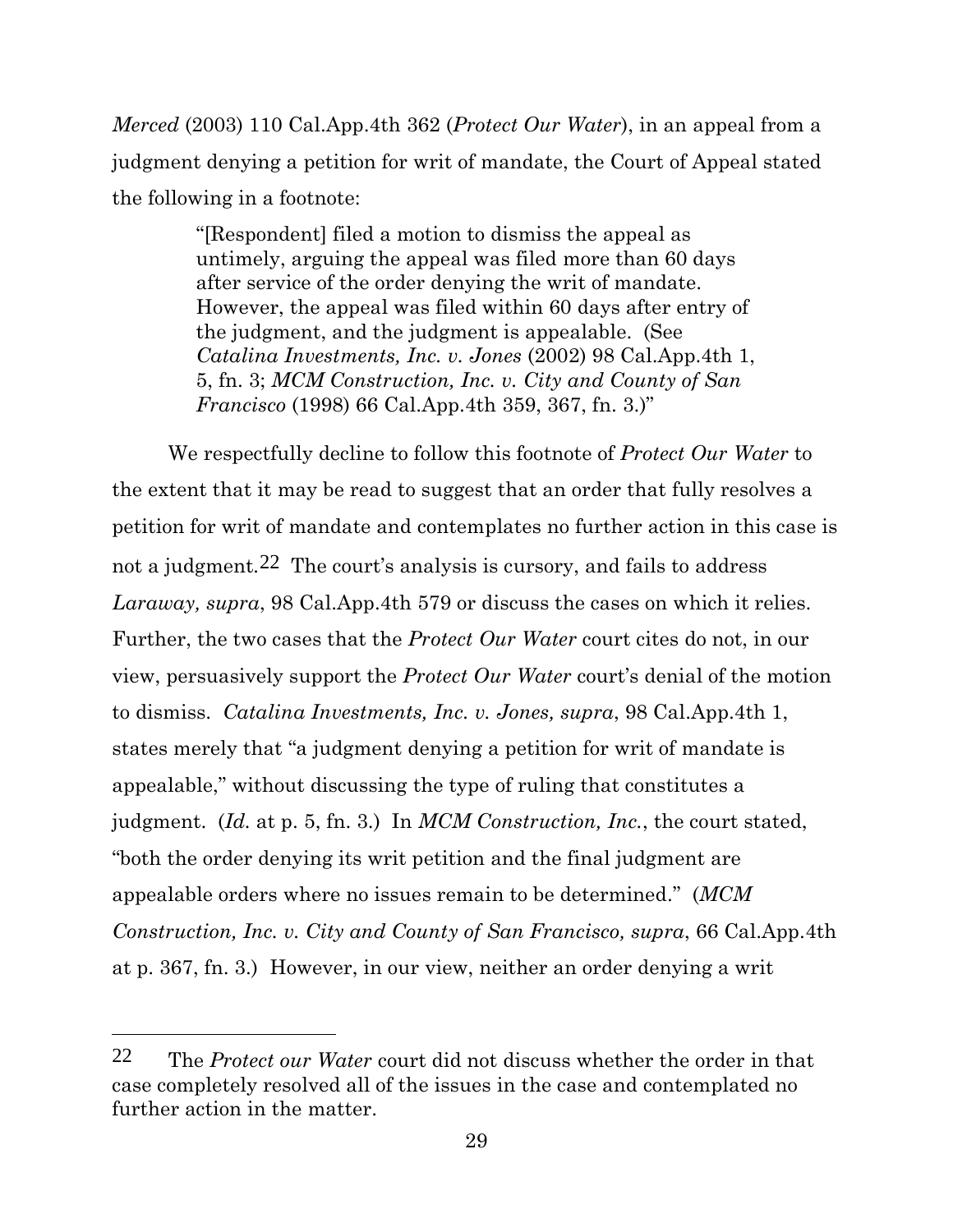*Merced* (2003) 110 Cal.App.4th 362 (*Protect Our Water*), in an appeal from a judgment denying a petition for writ of mandate, the Court of Appeal stated the following in a footnote:

> "[Respondent] filed a motion to dismiss the appeal as untimely, arguing the appeal was filed more than 60 days after service of the order denying the writ of mandate. However, the appeal was filed within 60 days after entry of the judgment, and the judgment is appealable. (See *Catalina Investments, Inc. v. Jones* (2002) 98 Cal.App.4th 1, 5, fn. 3; *MCM Construction, Inc. v. City and County of San Francisco* (1998) 66 Cal.App.4th 359, 367, fn. 3.)"

We respectfully decline to follow this footnote of *Protect Our Water* to the extent that it may be read to suggest that an order that fully resolves a petition for writ of mandate and contemplates no further action in this case is not a judgment*.*22 The court's analysis is cursory, and fails to address *Laraway, supra*, 98 Cal.App.4th 579 or discuss the cases on which it relies. Further, the two cases that the *Protect Our Water* court cites do not, in our view, persuasively support the *Protect Our Water* court's denial of the motion to dismiss. *Catalina Investments, Inc. v. Jones, supra*, 98 Cal.App.4th 1, states merely that "a judgment denying a petition for writ of mandate is appealable," without discussing the type of ruling that constitutes a judgment. (*Id.* at p. 5, fn. 3.) In *MCM Construction, Inc.*, the court stated, "both the order denying its writ petition and the final judgment are appealable orders where no issues remain to be determined." (*MCM Construction, Inc. v. City and County of San Francisco, supra*, 66 Cal.App.4th at p. 367, fn. 3.)However, in our view, neither an order denying a writ

<sup>22</sup> The *Protect our Water* court did not discuss whether the order in that case completely resolved all of the issues in the case and contemplated no further action in the matter.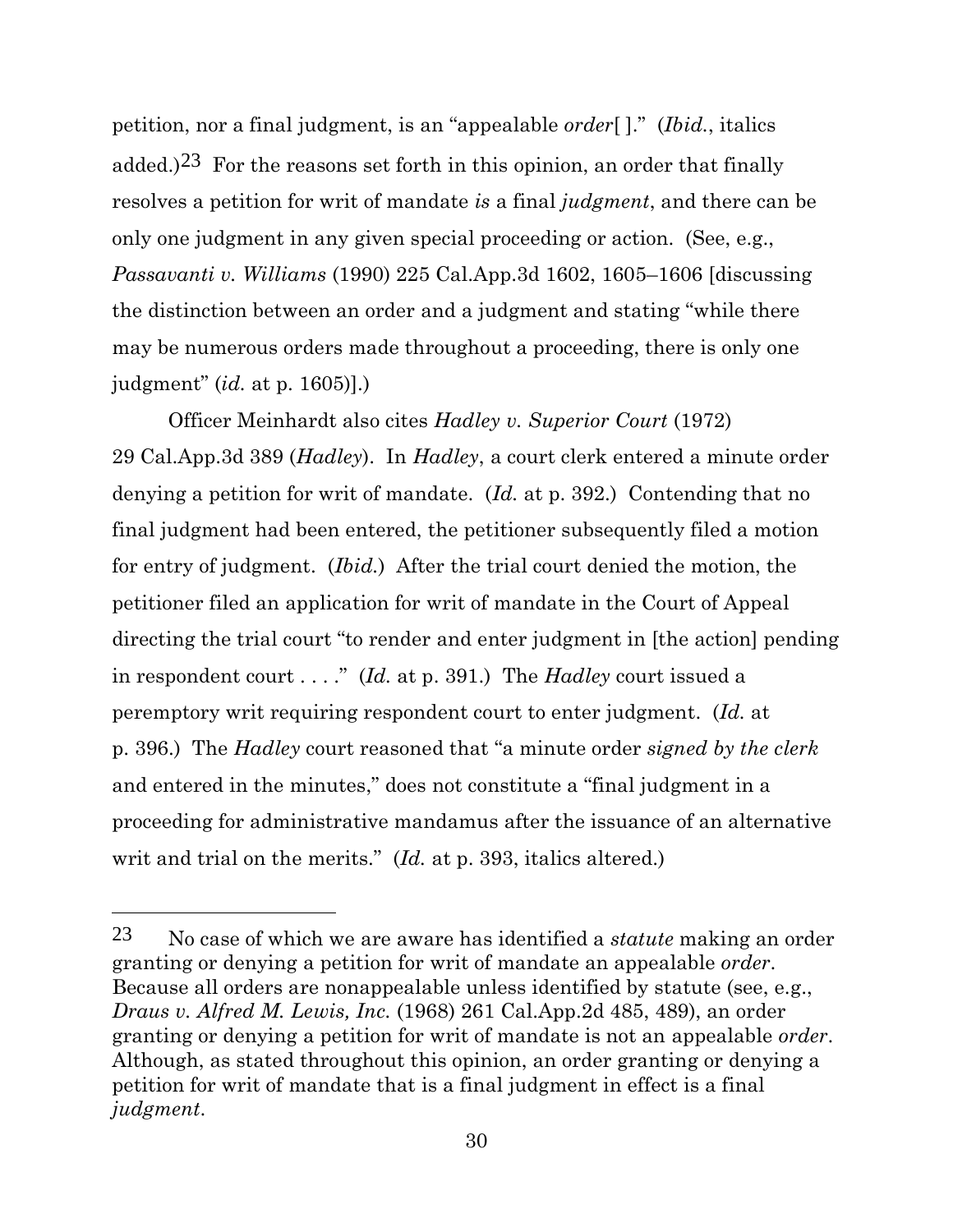petition, nor a final judgment, is an "appealable *order*[ ]." (*Ibid.*, italics added.)<sup>23</sup> For the reasons set forth in this opinion, an order that finally resolves a petition for writ of mandate *is* a final *judgment*, and there can be only one judgment in any given special proceeding or action. (See, e.g., *Passavanti v. Williams* (1990) 225 Cal.App.3d 1602, 1605–1606 [discussing the distinction between an order and a judgment and stating "while there may be numerous orders made throughout a proceeding, there is only one judgment" (*id.* at p. 1605)].)

Officer Meinhardt also cites *Hadley v. Superior Court* (1972) 29 Cal.App.3d 389 (*Hadley*). In *Hadley*, a court clerk entered a minute order denying a petition for writ of mandate. (*Id.* at p. 392.) Contending that no final judgment had been entered, the petitioner subsequently filed a motion for entry of judgment. (*Ibid.*) After the trial court denied the motion, the petitioner filed an application for writ of mandate in the Court of Appeal directing the trial court "to render and enter judgment in [the action] pending in respondent court . . . ." (*Id.* at p. 391.) The *Hadley* court issued a peremptory writ requiring respondent court to enter judgment. (*Id.* at p. 396.) The *Hadley* court reasoned that "a minute order *signed by the clerk* and entered in the minutes," does not constitute a "final judgment in a proceeding for administrative mandamus after the issuance of an alternative writ and trial on the merits." *(Id.* at p. 393, italics altered.)

<sup>23</sup> No case of which we are aware has identified a *statute* making an order granting or denying a petition for writ of mandate an appealable *order*. Because all orders are nonappealable unless identified by statute (see, e.g., *Draus v. Alfred M. Lewis, Inc.* (1968) 261 Cal.App.2d 485, 489), an order granting or denying a petition for writ of mandate is not an appealable *order*. Although, as stated throughout this opinion, an order granting or denying a petition for writ of mandate that is a final judgment in effect is a final *judgment*.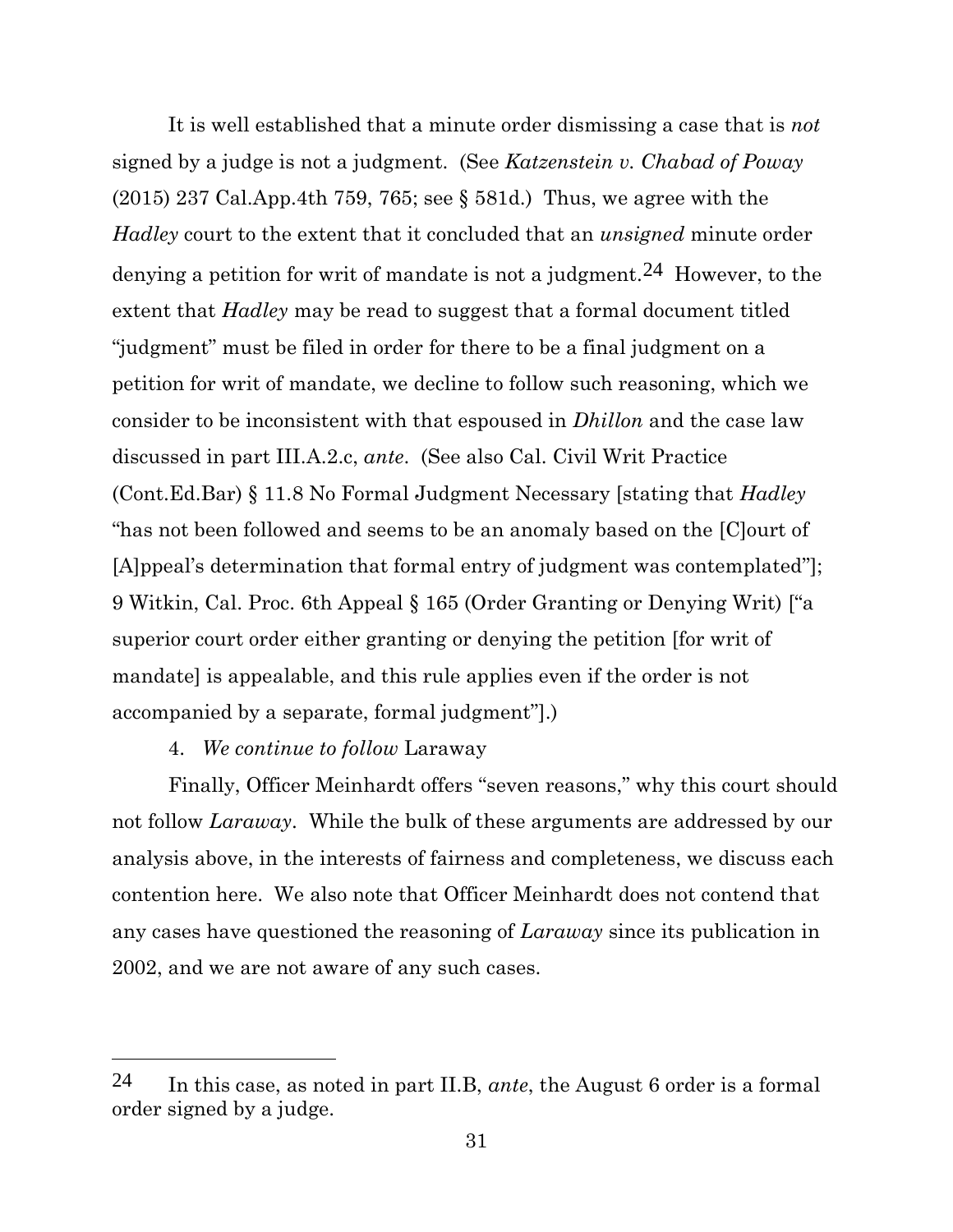It is well established that a minute order dismissing a case that is *not* signed by a judge is not a judgment. (See *Katzenstein v. Chabad of Poway* (2015) 237 Cal.App.4th 759, 765; see § 581d.) Thus, we agree with the *Hadley* court to the extent that it concluded that an *unsigned* minute order denying a petition for writ of mandate is not a judgment.<sup>24</sup> However, to the extent that *Hadley* may be read to suggest that a formal document titled "judgment" must be filed in order for there to be a final judgment on a petition for writ of mandate, we decline to follow such reasoning, which we consider to be inconsistent with that espoused in *Dhillon* and the case law discussed in part III.A.2.c, *ante*. (See also Cal. Civil Writ Practice (Cont.Ed.Bar) § 11.8 No Formal Judgment Necessary [stating that *Hadley* "has not been followed and seems to be an anomaly based on the [C]ourt of [A]ppeal's determination that formal entry of judgment was contemplated"]; 9 Witkin, Cal. Proc. 6th Appeal § 165 (Order Granting or Denying Writ) ["a superior court order either granting or denying the petition [for writ of mandate] is appealable, and this rule applies even if the order is not accompanied by a separate, formal judgment"].)

#### 4. *We continue to follow* Laraway

Finally, Officer Meinhardt offers "seven reasons," why this court should not follow *Laraway*. While the bulk of these arguments are addressed by our analysis above, in the interests of fairness and completeness, we discuss each contention here. We also note that Officer Meinhardt does not contend that any cases have questioned the reasoning of *Laraway* since its publication in 2002, and we are not aware of any such cases.

<sup>24</sup> In this case, as noted in part II.B, *ante*, the August 6 order is a formal order signed by a judge.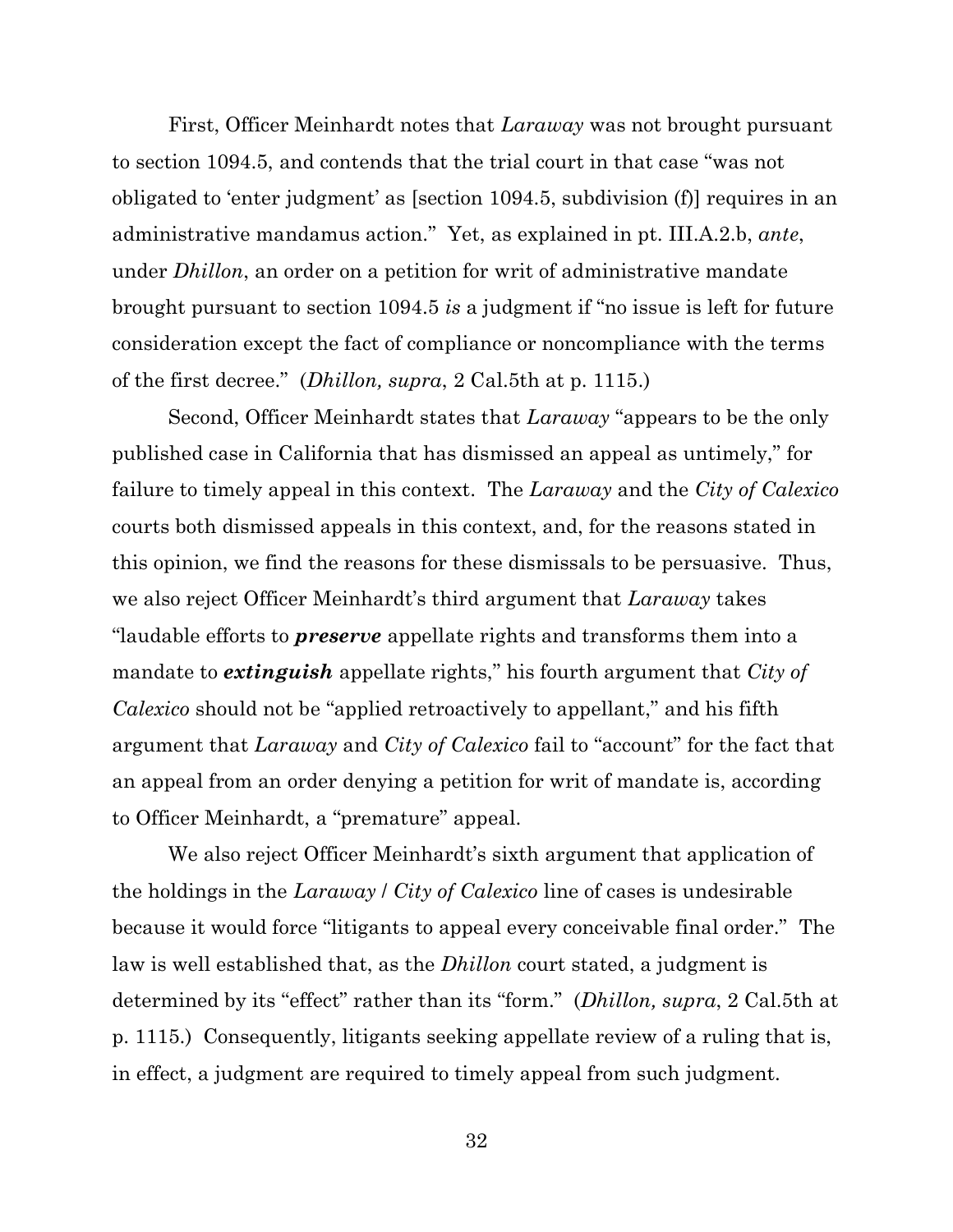First, Officer Meinhardt notes that *Laraway* was not brought pursuant to section 1094.5, and contends that the trial court in that case "was not obligated to 'enter judgment' as [section 1094.5, subdivision (f)] requires in an administrative mandamus action." Yet, as explained in pt. III.A.2.b, *ante*, under *Dhillon*, an order on a petition for writ of administrative mandate brought pursuant to section 1094.5 *is* a judgment if "no issue is left for future consideration except the fact of compliance or noncompliance with the terms of the first decree." (*Dhillon, supra*, 2 Cal.5th at p. 1115.)

Second, Officer Meinhardt states that *Laraway* "appears to be the only published case in California that has dismissed an appeal as untimely," for failure to timely appeal in this context. The *Laraway* and the *City of Calexico* courts both dismissed appeals in this context, and, for the reasons stated in this opinion, we find the reasons for these dismissals to be persuasive. Thus, we also reject Officer Meinhardt's third argument that *Laraway* takes "laudable efforts to *preserve* appellate rights and transforms them into a mandate to *extinguish* appellate rights," his fourth argument that *City of Calexico* should not be "applied retroactively to appellant," and his fifth argument that *Laraway* and *City of Calexico* fail to "account" for the fact that an appeal from an order denying a petition for writ of mandate is, according to Officer Meinhardt, a "premature" appeal.

We also reject Officer Meinhardt's sixth argument that application of the holdings in the *Laraway* / *City of Calexico* line of cases is undesirable because it would force "litigants to appeal every conceivable final order." The law is well established that, as the *Dhillon* court stated, a judgment is determined by its "effect" rather than its "form." (*Dhillon, supra*, 2 Cal.5th at p. 1115.) Consequently, litigants seeking appellate review of a ruling that is, in effect, a judgment are required to timely appeal from such judgment.

32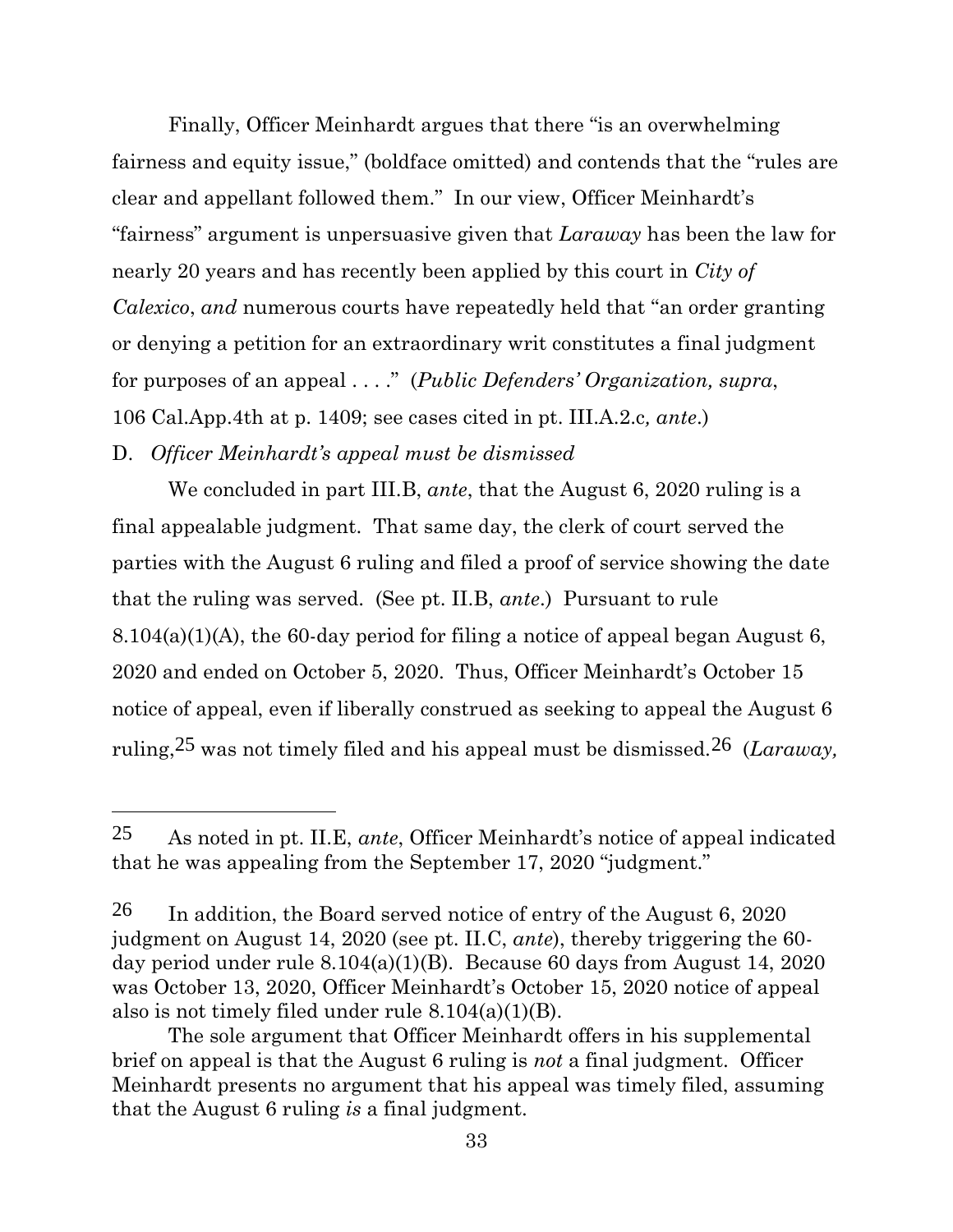Finally, Officer Meinhardt argues that there "is an overwhelming fairness and equity issue," (boldface omitted) and contends that the "rules are clear and appellant followed them." In our view, Officer Meinhardt's "fairness" argument is unpersuasive given that *Laraway* has been the law for nearly 20 years and has recently been applied by this court in *City of Calexico*, *and* numerous courts have repeatedly held that "an order granting or denying a petition for an extraordinary writ constitutes a final judgment for purposes of an appeal . . . ." (*Public Defenders' Organization, supra*, 106 Cal.App.4th at p. 1409; see cases cited in pt. III.A.2.c*, ante*.)

D. *Officer Meinhardt's appeal must be dismissed*

We concluded in part III.B, *ante*, that the August 6, 2020 ruling is a final appealable judgment. That same day, the clerk of court served the parties with the August 6 ruling and filed a proof of service showing the date that the ruling was served. (See pt. II.B, *ante*.) Pursuant to rule  $8.104(a)(1)(A)$ , the 60-day period for filing a notice of appeal began August 6, 2020 and ended on October 5, 2020. Thus, Officer Meinhardt's October 15 notice of appeal, even if liberally construed as seeking to appeal the August 6 ruling,25 was not timely filed and his appeal must be dismissed.26 (*Laraway,* 

<sup>25</sup> As noted in pt. II.E, *ante*, Officer Meinhardt's notice of appeal indicated that he was appealing from the September 17, 2020 "judgment."

<sup>26</sup> In addition, the Board served notice of entry of the August 6, 2020 judgment on August 14, 2020 (see pt. II.C, *ante*), thereby triggering the 60 day period under rule 8.104(a)(1)(B). Because 60 days from August 14, 2020 was October 13, 2020, Officer Meinhardt's October 15, 2020 notice of appeal also is not timely filed under rule 8.104(a)(1)(B).

The sole argument that Officer Meinhardt offers in his supplemental brief on appeal is that the August 6 ruling is *not* a final judgment. Officer Meinhardt presents no argument that his appeal was timely filed, assuming that the August 6 ruling *is* a final judgment.